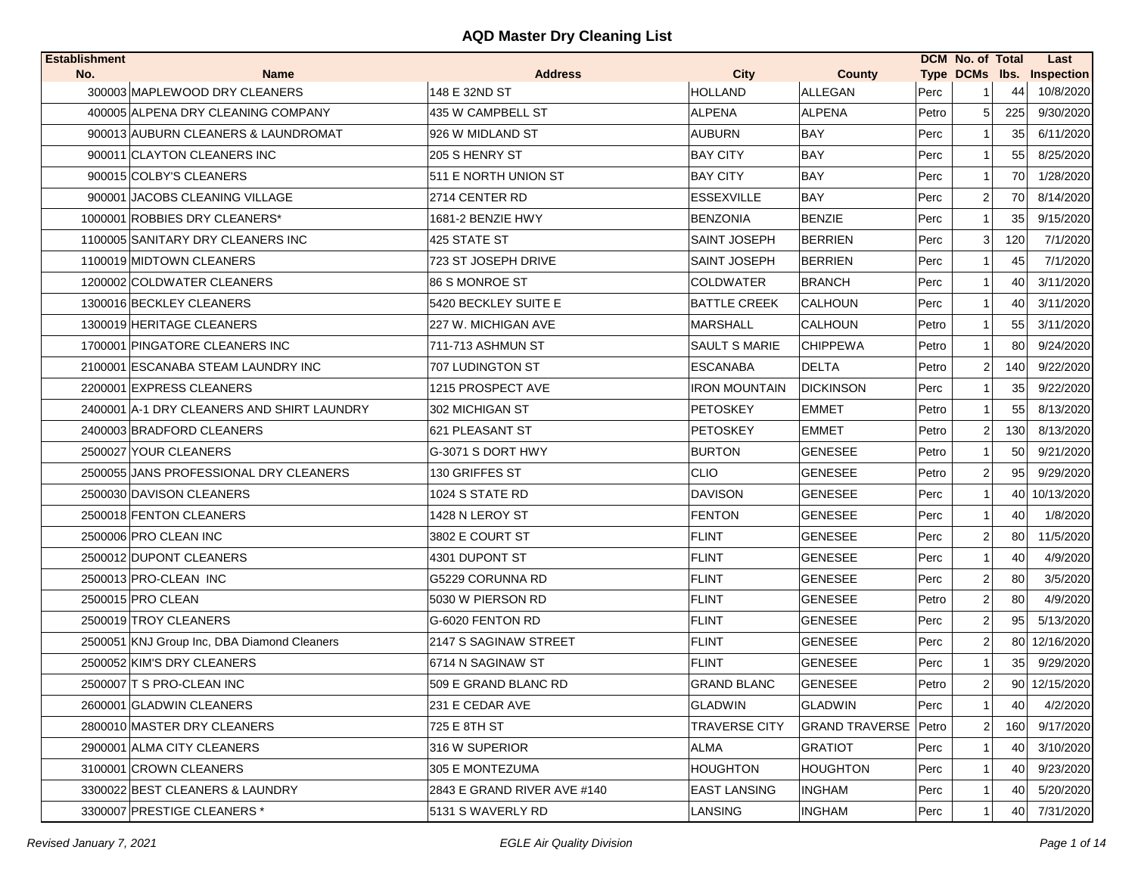| <b>City</b><br>Type DCMs lbs. Inspection<br>No.<br><b>Name</b><br><b>Address</b><br><b>County</b><br>300003 MAPLEWOOD DRY CLEANERS<br>148 E 32ND ST<br><b>HOLLAND</b><br><b>ALLEGAN</b><br>Perc<br>44<br><b>ALPENA</b><br><b>ALPENA</b><br>400005 ALPENA DRY CLEANING COMPANY<br>435 W CAMPBELL ST<br>Petro<br>225<br>5<br>900013 AUBURN CLEANERS & LAUNDROMAT<br>926 W MIDLAND ST<br><b>AUBURN</b><br><b>BAY</b><br>Perc<br>35<br>1 | 10/8/2020<br>9/30/2020<br>6/11/2020<br>8/25/2020 |
|--------------------------------------------------------------------------------------------------------------------------------------------------------------------------------------------------------------------------------------------------------------------------------------------------------------------------------------------------------------------------------------------------------------------------------------|--------------------------------------------------|
|                                                                                                                                                                                                                                                                                                                                                                                                                                      |                                                  |
|                                                                                                                                                                                                                                                                                                                                                                                                                                      |                                                  |
|                                                                                                                                                                                                                                                                                                                                                                                                                                      |                                                  |
|                                                                                                                                                                                                                                                                                                                                                                                                                                      |                                                  |
| <b>BAY</b><br>900011 CLAYTON CLEANERS INC<br>205 S HENRY ST<br><b>BAY CITY</b><br>Perc<br>55<br>11                                                                                                                                                                                                                                                                                                                                   |                                                  |
| 900015 COLBY'S CLEANERS<br>511 E NORTH UNION ST<br><b>BAY CITY</b><br><b>BAY</b><br>Perc<br>70<br>-1                                                                                                                                                                                                                                                                                                                                 | 1/28/2020                                        |
| BAY<br>900001 JACOBS CLEANING VILLAGE<br>2714 CENTER RD<br><b>ESSEXVILLE</b><br>Perc<br>$\mathbf{2}$<br>70                                                                                                                                                                                                                                                                                                                           | 8/14/2020                                        |
| 1000001 ROBBIES DRY CLEANERS*<br>1681-2 BENZIE HWY<br><b>BENZONIA</b><br><b>BENZIE</b><br>Perc<br>35                                                                                                                                                                                                                                                                                                                                 | 9/15/2020                                        |
| 1100005 SANITARY DRY CLEANERS INC<br>425 STATE ST<br><b>SAINT JOSEPH</b><br><b>BERRIEN</b><br>3 <br>120<br>Perc                                                                                                                                                                                                                                                                                                                      | 7/1/2020                                         |
| 1100019 MIDTOWN CLEANERS<br>723 ST JOSEPH DRIVE<br><b>BERRIEN</b><br>Perc<br><b>SAINT JOSEPH</b><br>45                                                                                                                                                                                                                                                                                                                               | 7/1/2020                                         |
| 1200002 COLDWATER CLEANERS<br>86 S MONROE ST<br><b>COLDWATER</b><br><b>BRANCH</b><br>Perc<br>40                                                                                                                                                                                                                                                                                                                                      | 3/11/2020                                        |
| 1300016 BECKLEY CLEANERS<br>5420 BECKLEY SUITE E<br><b>BATTLE CREEK</b><br><b>CALHOUN</b><br>Perc<br>40                                                                                                                                                                                                                                                                                                                              | 3/11/2020                                        |
| 1300019 HERITAGE CLEANERS<br>227 W. MICHIGAN AVE<br><b>MARSHALL</b><br><b>CALHOUN</b><br>Petro<br>55                                                                                                                                                                                                                                                                                                                                 | 3/11/2020                                        |
| 80<br>1700001 PINGATORE CLEANERS INC<br>711-713 ASHMUN ST<br>SAULT S MARIE<br><b>CHIPPEWA</b><br>Petro                                                                                                                                                                                                                                                                                                                               | 9/24/2020                                        |
| <b>DELTA</b><br>2100001 ESCANABA STEAM LAUNDRY INC<br><b>ESCANABA</b><br>Petro<br>$\mathsf{2}\mathsf{l}$<br>140<br><b>707 LUDINGTON ST</b>                                                                                                                                                                                                                                                                                           | 9/22/2020                                        |
| 2200001 EXPRESS CLEANERS<br>1215 PROSPECT AVE<br>IRON MOUNTAIN<br>DICKINSON<br>Perc<br>35                                                                                                                                                                                                                                                                                                                                            | 9/22/2020                                        |
| 2400001 A-1 DRY CLEANERS AND SHIRT LAUNDRY<br>302 MICHIGAN ST<br><b>PETOSKEY</b><br><b>EMMET</b><br>55<br>Petro                                                                                                                                                                                                                                                                                                                      | 8/13/2020                                        |
| 2400003 BRADFORD CLEANERS<br>621 PLEASANT ST<br><b>PETOSKEY</b><br><b>EMMET</b><br>Petro<br>130<br>$\mathsf{2}$                                                                                                                                                                                                                                                                                                                      | 8/13/2020                                        |
| <b>BURTON</b><br>Petro<br>2500027 YOUR CLEANERS<br>G-3071 S DORT HWY<br><b>GENESEE</b><br>50                                                                                                                                                                                                                                                                                                                                         | 9/21/2020                                        |
| 2500055 JANS PROFESSIONAL DRY CLEANERS<br>130 GRIFFES ST<br><b>CLIO</b><br><b>GENESEE</b><br>Petro<br>$\overline{2}$<br>95                                                                                                                                                                                                                                                                                                           | 9/29/2020                                        |
| <b>DAVISON</b><br><b>GENESEE</b><br>2500030 DAVISON CLEANERS<br>1024 S STATE RD<br>Perc<br>40                                                                                                                                                                                                                                                                                                                                        | 10/13/2020                                       |
| <b>FENTON</b><br>2500018 FENTON CLEANERS<br>1428 N LEROY ST<br><b>GENESEE</b><br>Perc<br>40<br>-1                                                                                                                                                                                                                                                                                                                                    | 1/8/2020                                         |
| 2500006 PRO CLEAN INC<br>3802 E COURT ST<br><b>FLINT</b><br><b>GENESEE</b><br>Perc<br>$\overline{2}$<br>80                                                                                                                                                                                                                                                                                                                           | 11/5/2020                                        |
| 2500012 DUPONT CLEANERS<br>4301 DUPONT ST<br><b>FLINT</b><br><b>GENESEE</b><br>Perc<br>40<br>11                                                                                                                                                                                                                                                                                                                                      | 4/9/2020                                         |
| 2500013 PRO-CLEAN INC<br>G5229 CORUNNA RD<br><b>FLINT</b><br><b>GENESEE</b><br>Perc<br>2<br>80                                                                                                                                                                                                                                                                                                                                       | 3/5/2020                                         |
| <b>FLINT</b><br>2500015 PRO CLEAN<br>5030 W PIERSON RD<br><b>GENESEE</b><br>Petro<br>$\overline{2}$<br>80                                                                                                                                                                                                                                                                                                                            | 4/9/2020                                         |
| 2500019 TROY CLEANERS<br><b>FLINT</b><br>$\overline{2}$<br>G-6020 FENTON RD<br><b>GENESEE</b><br>Perc<br>95                                                                                                                                                                                                                                                                                                                          | 5/13/2020                                        |
| <b>FLINT</b><br><b>GENESEE</b><br>2500051 KNJ Group Inc, DBA Diamond Cleaners<br>2147 S SAGINAW STREET<br>Perc<br>$\overline{2}$                                                                                                                                                                                                                                                                                                     | 80 12/16/2020                                    |
| 2500052 KIM'S DRY CLEANERS<br>6714 N SAGINAW ST<br><b>FLINT</b><br><b>GENESEE</b><br>Perc<br>35 <sub>1</sub><br>11                                                                                                                                                                                                                                                                                                                   | 9/29/2020                                        |
| 2500007 T S PRO-CLEAN INC<br>509 E GRAND BLANC RD<br><b>GRAND BLANC</b><br><b>GENESEE</b><br>Petro<br>$\overline{2}$                                                                                                                                                                                                                                                                                                                 | 90 12/15/2020                                    |
| <b>GLADWIN</b><br>Perc<br>2600001 GLADWIN CLEANERS<br>231 E CEDAR AVE<br><b>GLADWIN</b><br>11<br>40                                                                                                                                                                                                                                                                                                                                  | 4/2/2020                                         |
| 2800010 MASTER DRY CLEANERS<br>725 E 8TH ST<br><b>TRAVERSE CITY</b><br><b>GRAND TRAVERSE Petro</b><br>$2\vert$<br>160                                                                                                                                                                                                                                                                                                                | 9/17/2020                                        |
| 2900001 ALMA CITY CLEANERS<br>316 W SUPERIOR<br>ALMA<br><b>GRATIOT</b><br>Perc<br>40                                                                                                                                                                                                                                                                                                                                                 | 3/10/2020                                        |
| 3100001 CROWN CLEANERS<br><b>HOUGHTON</b><br>Perc<br>305 E MONTEZUMA<br>HOUGHTON<br>40                                                                                                                                                                                                                                                                                                                                               | 9/23/2020                                        |
| <b>EAST LANSING</b><br>3300022 BEST CLEANERS & LAUNDRY<br>2843 E GRAND RIVER AVE #140<br><b>INGHAM</b><br>Perc<br>40                                                                                                                                                                                                                                                                                                                 | 5/20/2020                                        |
| <b>INGHAM</b><br>3300007 PRESTIGE CLEANERS *<br>5131 S WAVERLY RD<br>LANSING<br>Perc<br>40                                                                                                                                                                                                                                                                                                                                           | 7/31/2020                                        |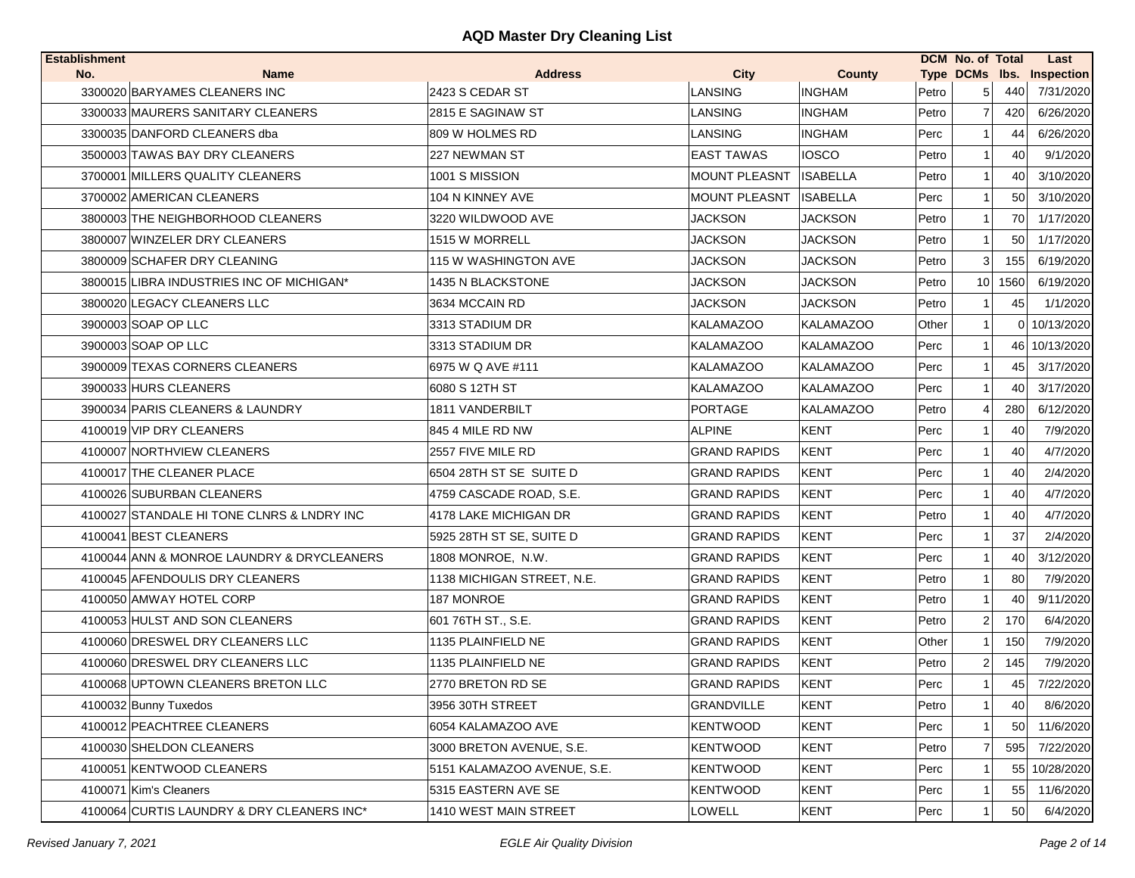| <b>Establishment</b> |                                            |                             |                      |                  |       | DCM No. of Total |      | Last                      |
|----------------------|--------------------------------------------|-----------------------------|----------------------|------------------|-------|------------------|------|---------------------------|
| No.                  | <b>Name</b>                                | <b>Address</b>              | City                 | County           |       |                  |      | Type DCMs Ibs. Inspection |
|                      | 3300020 BARYAMES CLEANERS INC              | 2423 S CEDAR ST             | <b>LANSING</b>       | <b>INGHAM</b>    | Petro | 5                | 440  | 7/31/2020                 |
|                      | 3300033 MAURERS SANITARY CLEANERS          | 2815 E SAGINAW ST           | LANSING              | <b>INGHAM</b>    | Petro | $\overline{7}$   | 420  | 6/26/2020                 |
|                      | 3300035 DANFORD CLEANERS dba               | 809 W HOLMES RD             | LANSING              | <b>INGHAM</b>    | Perc  |                  | 44   | 6/26/2020                 |
|                      | 3500003 TAWAS BAY DRY CLEANERS             | 227 NEWMAN ST               | <b>EAST TAWAS</b>    | <b>IOSCO</b>     | Petro | 1                | 40   | 9/1/2020                  |
|                      | 3700001 MILLERS QUALITY CLEANERS           | 1001 S MISSION              | <b>MOUNT PLEASNT</b> | <b>ISABELLA</b>  | Petro | 1                | 40   | 3/10/2020                 |
|                      | 3700002 AMERICAN CLEANERS                  | 104 N KINNEY AVE            | <b>MOUNT PLEASNT</b> | <b>ISABELLA</b>  | Perc  | 1                | 50   | 3/10/2020                 |
|                      | 3800003 THE NEIGHBORHOOD CLEANERS          | 3220 WILDWOOD AVE           | JACKSON              | <b>JACKSON</b>   | Petro | $\mathbf 1$      | 70   | 1/17/2020                 |
|                      | 3800007 WINZELER DRY CLEANERS              | 1515 W MORRELL              | JACKSON              | <b>JACKSON</b>   | Petro | 1                | 50   | 1/17/2020                 |
|                      | 3800009 SCHAFER DRY CLEANING               | 115 W WASHINGTON AVE        | JACKSON              | JACKSON          | Petro | 3                | 155  | 6/19/2020                 |
|                      | 3800015 LIBRA INDUSTRIES INC OF MICHIGAN*  | 1435 N BLACKSTONE           | JACKSON              | <b>JACKSON</b>   | Petro | 10 <sup>1</sup>  | 1560 | 6/19/2020                 |
|                      | 3800020 LEGACY CLEANERS LLC                | 3634 MCCAIN RD              | <b>JACKSON</b>       | <b>JACKSON</b>   | Petro |                  | 45   | 1/1/2020                  |
|                      | 3900003 SOAP OP LLC                        | 3313 STADIUM DR             | KALAMAZOO            | KALAMAZOO        | Other | 1                |      | 0 10/13/2020              |
|                      | 3900003 SOAP OP LLC                        | 3313 STADIUM DR             | <b>KALAMAZOO</b>     | <b>KALAMAZOO</b> | Perc  | 1                |      | 46 10/13/2020             |
|                      | 3900009 TEXAS CORNERS CLEANERS             | 6975 W Q AVE #111           | <b>KALAMAZOO</b>     | <b>KALAMAZOO</b> | Perc  | 1                | 45   | 3/17/2020                 |
|                      | 3900033 HURS CLEANERS                      | 6080 S 12TH ST              | <b>KALAMAZOO</b>     | <b>KALAMAZOO</b> | Perc  | $1 \vert$        | 40   | 3/17/2020                 |
|                      | 3900034 PARIS CLEANERS & LAUNDRY           | 1811 VANDERBILT             | <b>PORTAGE</b>       | <b>KALAMAZOO</b> | Petro | $\overline{4}$   | 280  | 6/12/2020                 |
|                      | 4100019 VIP DRY CLEANERS                   | 845 4 MILE RD NW            | <b>ALPINE</b>        | <b>KENT</b>      | Perc  |                  | 40   | 7/9/2020                  |
|                      | 4100007 NORTHVIEW CLEANERS                 | 2557 FIVE MILE RD           | <b>GRAND RAPIDS</b>  | KENT             | Perc  | 1                | 40   | 4/7/2020                  |
|                      | 4100017 THE CLEANER PLACE                  | 6504 28TH ST SE SUITE D     | <b>GRAND RAPIDS</b>  | KENT             | Perc  | 1                | 40   | 2/4/2020                  |
|                      | 4100026 SUBURBAN CLEANERS                  | 4759 CASCADE ROAD, S.E.     | <b>GRAND RAPIDS</b>  | <b>KENT</b>      | Perc  |                  | 40   | 4/7/2020                  |
|                      | 4100027 STANDALE HI TONE CLNRS & LNDRY INC | 4178 LAKE MICHIGAN DR       | <b>GRAND RAPIDS</b>  | KENT             | Petro | 1                | 40   | 4/7/2020                  |
|                      | 4100041 BEST CLEANERS                      | 5925 28TH ST SE, SUITE D    | <b>GRAND RAPIDS</b>  | <b>KENT</b>      | Perc  | 1                | 37   | 2/4/2020                  |
|                      | 4100044 ANN & MONROE LAUNDRY & DRYCLEANERS | 1808 MONROE, N.W.           | <b>GRAND RAPIDS</b>  | <b>KENT</b>      | Perc  | 1                | 40   | 3/12/2020                 |
|                      | 4100045 AFENDOULIS DRY CLEANERS            | 1138 MICHIGAN STREET, N.E.  | <b>GRAND RAPIDS</b>  | KENT             | Petro | 1                | 80   | 7/9/2020                  |
|                      | 4100050 AMWAY HOTEL CORP                   | 187 MONROE                  | <b>GRAND RAPIDS</b>  | KENT             | Petro | $\mathbf 1$      | 40   | 9/11/2020                 |
|                      | 4100053 HULST AND SON CLEANERS             | 601 76TH ST., S.E.          | <b>GRAND RAPIDS</b>  | KENT             | Petro | 2                | 170  | 6/4/2020                  |
|                      | 4100060 DRESWEL DRY CLEANERS LLC           | 1135 PLAINFIELD NE          | <b>GRAND RAPIDS</b>  | KENT             | Other | 1                | 150  | 7/9/2020                  |
|                      | 4100060 DRESWEL DRY CLEANERS LLC           | 1135 PLAINFIELD NE          | <b>GRAND RAPIDS</b>  | <b>KENT</b>      | Petro | $\overline{2}$   | 145  | 7/9/2020                  |
|                      | 4100068 UPTOWN CLEANERS BRETON LLC         | 2770 BRETON RD SE           | <b>GRAND RAPIDS</b>  | <b>KENT</b>      | Perc  | 1                | 45   | 7/22/2020                 |
|                      | 4100032 Bunny Tuxedos                      | 3956 30TH STREET            | <b>GRANDVILLE</b>    | <b>KENT</b>      | Petro | $\mathbf{1}$     | 40   | 8/6/2020                  |
|                      | 4100012 PEACHTREE CLEANERS                 | 6054 KALAMAZOO AVE          | <b>KENTWOOD</b>      | <b>KENT</b>      | Perc  |                  | 50   | 11/6/2020                 |
|                      | 4100030 SHELDON CLEANERS                   | 3000 BRETON AVENUE, S.E.    | <b>KENTWOOD</b>      | <b>KENT</b>      | Petro | 7                | 595  | 7/22/2020                 |
|                      | 4100051 KENTWOOD CLEANERS                  | 5151 KALAMAZOO AVENUE, S.E. | <b>KENTWOOD</b>      | <b>KENT</b>      | Perc  |                  | 55   | 10/28/2020                |
|                      | 4100071 Kim's Cleaners                     | 5315 EASTERN AVE SE         | <b>KENTWOOD</b>      | <b>KENT</b>      | Perc  |                  | 55   | 11/6/2020                 |
|                      | 4100064 CURTIS LAUNDRY & DRY CLEANERS INC* | 1410 WEST MAIN STREET       | LOWELL               | <b>KENT</b>      | Perc  | 1                | 50   | 6/4/2020                  |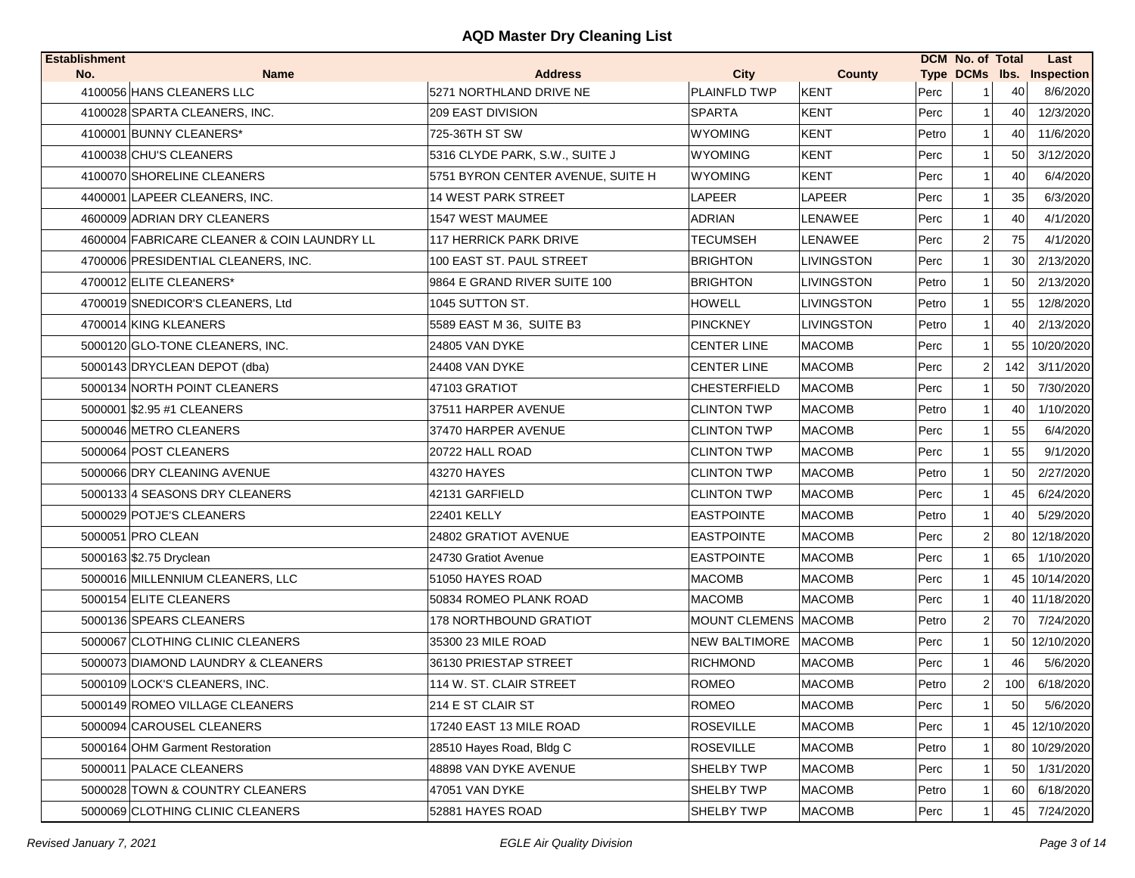| <b>Establishment</b> |                                             |                                   |                             |               |       | <b>DCM No. of Total</b> |     | Last                      |
|----------------------|---------------------------------------------|-----------------------------------|-----------------------------|---------------|-------|-------------------------|-----|---------------------------|
| No.                  | <b>Name</b>                                 | <b>Address</b>                    | <b>City</b>                 | <b>County</b> |       |                         |     | Type DCMs lbs. Inspection |
|                      | 4100056 HANS CLEANERS LLC                   | 5271 NORTHLAND DRIVE NE           | <b>PLAINFLD TWP</b>         | <b>KENT</b>   | Perc  |                         | 40  | 8/6/2020                  |
|                      | 4100028 SPARTA CLEANERS, INC.               | <b>209 EAST DIVISION</b>          | <b>SPARTA</b>               | <b>KENT</b>   | Perc  | 11                      | 40  | 12/3/2020                 |
|                      | 4100001 BUNNY CLEANERS*                     | 725-36TH ST SW                    | <b>WYOMING</b>              | <b>KENT</b>   | Petro | 11                      | 40  | 11/6/2020                 |
|                      | 4100038 CHU'S CLEANERS                      | 5316 CLYDE PARK, S.W., SUITE J    | <b>WYOMING</b>              | <b>KENT</b>   | Perc  |                         | 50  | 3/12/2020                 |
|                      | 4100070 SHORELINE CLEANERS                  | 5751 BYRON CENTER AVENUE, SUITE H | <b>WYOMING</b>              | <b>KENT</b>   | Perc  |                         | 40  | 6/4/2020                  |
|                      | 4400001 LAPEER CLEANERS, INC.               | 14 WEST PARK STREET               | LAPEER                      | <b>LAPEER</b> | Perc  |                         | 35  | 6/3/2020                  |
|                      | 4600009 ADRIAN DRY CLEANERS                 | 1547 WEST MAUMEE                  | ADRIAN                      | LENAWEE       | Perc  | 1                       | 40  | 4/1/2020                  |
|                      | 4600004 FABRICARE CLEANER & COIN LAUNDRY LL | 117 HERRICK PARK DRIVE            | TECUMSEH                    | LENAWEE       | Perc  | $\mathbf{2}$            | 75  | 4/1/2020                  |
|                      | 4700006 PRESIDENTIAL CLEANERS, INC.         | 100 EAST ST. PAUL STREET          | <b>BRIGHTON</b>             | LIVINGSTON    | Perc  |                         | 30  | 2/13/2020                 |
|                      | 4700012 ELITE CLEANERS*                     | 9864 E GRAND RIVER SUITE 100      | <b>BRIGHTON</b>             | LIVINGSTON    | Petro | 1                       | 50  | 2/13/2020                 |
|                      | 4700019 SNEDICOR'S CLEANERS, Ltd            | 1045 SUTTON ST.                   | HOWELL                      | LIVINGSTON    | Petro |                         | 55  | 12/8/2020                 |
|                      | 4700014 KING KLEANERS                       | 5589 EAST M 36, SUITE B3          | <b>PINCKNEY</b>             | LIVINGSTON    | Petro |                         | 40  | 2/13/2020                 |
|                      | 5000120 GLO-TONE CLEANERS, INC.             | 24805 VAN DYKE                    | <b>CENTER LINE</b>          | <b>MACOMB</b> | Perc  | 11                      |     | 55 10/20/2020             |
|                      | 5000143 DRYCLEAN DEPOT (dba)                | 24408 VAN DYKE                    | <b>CENTER LINE</b>          | <b>MACOMB</b> | Perc  | $\overline{2}$          | 142 | 3/11/2020                 |
|                      | 5000134 NORTH POINT CLEANERS                | 47103 GRATIOT                     | <b>CHESTERFIELD</b>         | <b>MACOMB</b> | Perc  | 11                      | 50  | 7/30/2020                 |
|                      | 5000001 \$2.95 #1 CLEANERS                  | 37511 HARPER AVENUE               | <b>CLINTON TWP</b>          | <b>MACOMB</b> | Petro |                         | 40  | 1/10/2020                 |
|                      | 5000046 METRO CLEANERS                      | 37470 HARPER AVENUE               | <b>CLINTON TWP</b>          | <b>MACOMB</b> | Perc  |                         | 55  | 6/4/2020                  |
|                      | 5000064 POST CLEANERS                       | 20722 HALL ROAD                   | <b>CLINTON TWP</b>          | <b>MACOMB</b> | Perc  |                         | 55  | 9/1/2020                  |
|                      | 5000066 DRY CLEANING AVENUE                 | 43270 HAYES                       | <b>CLINTON TWP</b>          | <b>MACOMB</b> | Petro |                         | 50  | 2/27/2020                 |
|                      | 5000133 4 SEASONS DRY CLEANERS              | 42131 GARFIELD                    | <b>CLINTON TWP</b>          | <b>MACOMB</b> | Perc  |                         | 45  | 6/24/2020                 |
|                      | 5000029 POTJE'S CLEANERS                    | 22401 KELLY                       | <b>EASTPOINTE</b>           | <b>MACOMB</b> | Petro |                         | 40  | 5/29/2020                 |
|                      | 5000051 PRO CLEAN                           | 24802 GRATIOT AVENUE              | <b>EASTPOINTE</b>           | <b>MACOMB</b> | Perc  | $\overline{2}$          | 80  | 12/18/2020                |
|                      | 5000163 \$2.75 Dryclean                     | 24730 Gratiot Avenue              | <b>EASTPOINTE</b>           | <b>MACOMB</b> | Perc  |                         | 65  | 1/10/2020                 |
|                      | 5000016 MILLENNIUM CLEANERS, LLC            | 51050 HAYES ROAD                  | <b>MACOMB</b>               | <b>MACOMB</b> | Perc  |                         |     | 45 10/14/2020             |
|                      | 5000154 ELITE CLEANERS                      | 50834 ROMEO PLANK ROAD            | <b>MACOMB</b>               | <b>MACOMB</b> | Perc  |                         |     | 40 11/18/2020             |
|                      | 5000136 SPEARS CLEANERS                     | 178 NORTHBOUND GRATIOT            | <b>MOUNT CLEMENS MACOMB</b> |               | Petro | $\overline{2}$          | 70  | 7/24/2020                 |
|                      | 5000067 CLOTHING CLINIC CLEANERS            | 35300 23 MILE ROAD                | <b>NEW BALTIMORE</b>        | <b>MACOMB</b> | Perc  | 1 <sup>1</sup>          |     | 50 12/10/2020             |
|                      | 5000073 DIAMOND LAUNDRY & CLEANERS          | 36130 PRIESTAP STREET             | <b>RICHMOND</b>             | <b>MACOMB</b> | Perc  | 11                      | 46  | 5/6/2020                  |
|                      | 5000109 LOCK'S CLEANERS, INC.               | 114 W. ST. CLAIR STREET           | <b>ROMEO</b>                | <b>MACOMB</b> | Petro | 2                       | 100 | 6/18/2020                 |
|                      | 5000149 ROMEO VILLAGE CLEANERS              | 214 E ST CLAIR ST                 | <b>ROMEO</b>                | <b>MACOMB</b> | Perc  | 1 <sup>1</sup>          | 50  | 5/6/2020                  |
|                      | 5000094 CAROUSEL CLEANERS                   | 17240 EAST 13 MILE ROAD           | <b>ROSEVILLE</b>            | <b>MACOMB</b> | Perc  |                         |     | 45 12/10/2020             |
|                      | 5000164 OHM Garment Restoration             | 28510 Hayes Road, Bldg C          | <b>ROSEVILLE</b>            | <b>MACOMB</b> | Petro |                         |     | 80 10/29/2020             |
|                      | 5000011 PALACE CLEANERS                     | 48898 VAN DYKE AVENUE             | SHELBY TWP                  | <b>MACOMB</b> | Perc  |                         | 50  | 1/31/2020                 |
|                      | 5000028 TOWN & COUNTRY CLEANERS             | 47051 VAN DYKE                    | SHELBY TWP                  | <b>MACOMB</b> | Petro |                         | 60  | 6/18/2020                 |
|                      | 5000069 CLOTHING CLINIC CLEANERS            | 52881 HAYES ROAD                  | SHELBY TWP                  | <b>MACOMB</b> | Perc  |                         | 45  | 7/24/2020                 |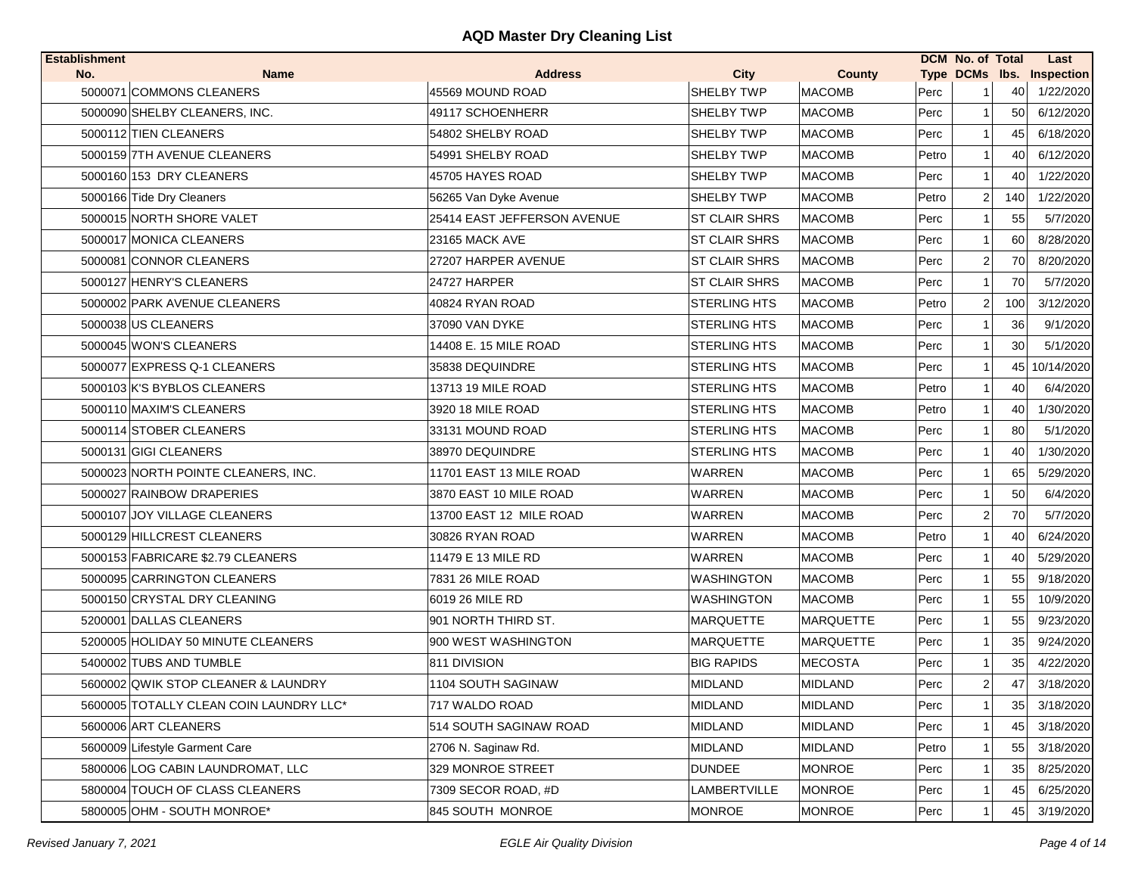| No.<br><b>City</b><br><b>County</b><br>Type DCMs Ibs. Inspection<br>Name<br><b>Address</b><br>SHELBY TWP<br>5000071 COMMONS CLEANERS<br><b>MACOMB</b><br>45569 MOUND ROAD<br>Perc<br>40<br>1/22/2020<br>6/12/2020<br>5000090 SHELBY CLEANERS, INC.<br>49117 SCHOENHERR<br><b>SHELBY TWP</b><br><b>MACOMB</b><br>Perc<br>50<br>1<br>6/18/2020<br>5000112 TIEN CLEANERS<br>54802 SHELBY ROAD<br><b>SHELBY TWP</b><br><b>MACOMB</b><br>Perc<br>45<br>5000159 7TH AVENUE CLEANERS<br>54991 SHELBY ROAD<br><b>SHELBY TWP</b><br><b>MACOMB</b><br>Petro<br>40<br>6/12/2020<br>1<br>5000160 153 DRY CLEANERS<br>45705 HAYES ROAD<br><b>MACOMB</b><br><b>SHELBY TWP</b><br>Perc<br>40<br>1/22/2020<br>1<br>5000166 Tide Dry Cleaners<br><b>SHELBY TWP</b><br><b>MACOMB</b><br>Petro<br>$\overline{2}$<br>140<br>1/22/2020<br>56265 Van Dyke Avenue<br>5000015 NORTH SHORE VALET<br>25414 EAST JEFFERSON AVENUE<br><b>ST CLAIR SHRS</b><br><b>MACOMB</b><br>5/7/2020<br>Perc<br>55<br>-1<br>8/28/2020<br>5000017 MONICA CLEANERS<br>23165 MACK AVE<br><b>ST CLAIR SHRS</b><br><b>MACOMB</b><br>Perc<br>60<br>27207 HARPER AVENUE<br><b>ST CLAIR SHRS</b><br><b>MACOMB</b><br>70<br>5000081 CONNOR CLEANERS<br>Perc<br>2<br>8/20/2020<br>70<br>5000127 HENRY'S CLEANERS<br>24727 HARPER<br><b>ST CLAIR SHRS</b><br><b>MACOMB</b><br>Perc<br>5/7/2020<br>1<br><b>STERLING HTS</b><br>3/12/2020<br>5000002 PARK AVENUE CLEANERS<br>40824 RYAN ROAD<br><b>MACOMB</b><br>Petro<br>2<br>100<br>9/1/2020<br>5000038 US CLEANERS<br>37090 VAN DYKE<br><b>STERLING HTS</b><br><b>MACOMB</b><br>Perc<br>36<br>-1<br>5000045 WON'S CLEANERS<br><b>MACOMB</b><br>30<br>5/1/2020<br>14408 E. 15 MILE ROAD<br><b>STERLING HTS</b><br>Perc<br>$\mathbf 1$ |
|-----------------------------------------------------------------------------------------------------------------------------------------------------------------------------------------------------------------------------------------------------------------------------------------------------------------------------------------------------------------------------------------------------------------------------------------------------------------------------------------------------------------------------------------------------------------------------------------------------------------------------------------------------------------------------------------------------------------------------------------------------------------------------------------------------------------------------------------------------------------------------------------------------------------------------------------------------------------------------------------------------------------------------------------------------------------------------------------------------------------------------------------------------------------------------------------------------------------------------------------------------------------------------------------------------------------------------------------------------------------------------------------------------------------------------------------------------------------------------------------------------------------------------------------------------------------------------------------------------------------------------------------------------------------------------------------------------------------------------------|
|                                                                                                                                                                                                                                                                                                                                                                                                                                                                                                                                                                                                                                                                                                                                                                                                                                                                                                                                                                                                                                                                                                                                                                                                                                                                                                                                                                                                                                                                                                                                                                                                                                                                                                                                   |
|                                                                                                                                                                                                                                                                                                                                                                                                                                                                                                                                                                                                                                                                                                                                                                                                                                                                                                                                                                                                                                                                                                                                                                                                                                                                                                                                                                                                                                                                                                                                                                                                                                                                                                                                   |
|                                                                                                                                                                                                                                                                                                                                                                                                                                                                                                                                                                                                                                                                                                                                                                                                                                                                                                                                                                                                                                                                                                                                                                                                                                                                                                                                                                                                                                                                                                                                                                                                                                                                                                                                   |
|                                                                                                                                                                                                                                                                                                                                                                                                                                                                                                                                                                                                                                                                                                                                                                                                                                                                                                                                                                                                                                                                                                                                                                                                                                                                                                                                                                                                                                                                                                                                                                                                                                                                                                                                   |
|                                                                                                                                                                                                                                                                                                                                                                                                                                                                                                                                                                                                                                                                                                                                                                                                                                                                                                                                                                                                                                                                                                                                                                                                                                                                                                                                                                                                                                                                                                                                                                                                                                                                                                                                   |
|                                                                                                                                                                                                                                                                                                                                                                                                                                                                                                                                                                                                                                                                                                                                                                                                                                                                                                                                                                                                                                                                                                                                                                                                                                                                                                                                                                                                                                                                                                                                                                                                                                                                                                                                   |
|                                                                                                                                                                                                                                                                                                                                                                                                                                                                                                                                                                                                                                                                                                                                                                                                                                                                                                                                                                                                                                                                                                                                                                                                                                                                                                                                                                                                                                                                                                                                                                                                                                                                                                                                   |
|                                                                                                                                                                                                                                                                                                                                                                                                                                                                                                                                                                                                                                                                                                                                                                                                                                                                                                                                                                                                                                                                                                                                                                                                                                                                                                                                                                                                                                                                                                                                                                                                                                                                                                                                   |
|                                                                                                                                                                                                                                                                                                                                                                                                                                                                                                                                                                                                                                                                                                                                                                                                                                                                                                                                                                                                                                                                                                                                                                                                                                                                                                                                                                                                                                                                                                                                                                                                                                                                                                                                   |
|                                                                                                                                                                                                                                                                                                                                                                                                                                                                                                                                                                                                                                                                                                                                                                                                                                                                                                                                                                                                                                                                                                                                                                                                                                                                                                                                                                                                                                                                                                                                                                                                                                                                                                                                   |
|                                                                                                                                                                                                                                                                                                                                                                                                                                                                                                                                                                                                                                                                                                                                                                                                                                                                                                                                                                                                                                                                                                                                                                                                                                                                                                                                                                                                                                                                                                                                                                                                                                                                                                                                   |
|                                                                                                                                                                                                                                                                                                                                                                                                                                                                                                                                                                                                                                                                                                                                                                                                                                                                                                                                                                                                                                                                                                                                                                                                                                                                                                                                                                                                                                                                                                                                                                                                                                                                                                                                   |
|                                                                                                                                                                                                                                                                                                                                                                                                                                                                                                                                                                                                                                                                                                                                                                                                                                                                                                                                                                                                                                                                                                                                                                                                                                                                                                                                                                                                                                                                                                                                                                                                                                                                                                                                   |
|                                                                                                                                                                                                                                                                                                                                                                                                                                                                                                                                                                                                                                                                                                                                                                                                                                                                                                                                                                                                                                                                                                                                                                                                                                                                                                                                                                                                                                                                                                                                                                                                                                                                                                                                   |
| 5000077 EXPRESS Q-1 CLEANERS<br>35838 DEQUINDRE<br><b>STERLING HTS</b><br><b>MACOMB</b><br>Perc<br>45<br>10/14/2020<br>-1                                                                                                                                                                                                                                                                                                                                                                                                                                                                                                                                                                                                                                                                                                                                                                                                                                                                                                                                                                                                                                                                                                                                                                                                                                                                                                                                                                                                                                                                                                                                                                                                         |
| 5000103 K'S BYBLOS CLEANERS<br>13713 19 MILE ROAD<br><b>STERLING HTS</b><br><b>MACOMB</b><br>Petro<br>40<br>6/4/2020<br>1                                                                                                                                                                                                                                                                                                                                                                                                                                                                                                                                                                                                                                                                                                                                                                                                                                                                                                                                                                                                                                                                                                                                                                                                                                                                                                                                                                                                                                                                                                                                                                                                         |
| 5000110 MAXIM'S CLEANERS<br>3920 18 MILE ROAD<br><b>STERLING HTS</b><br><b>MACOMB</b><br>Petro<br>$\mathbf{1}$<br>40<br>1/30/2020                                                                                                                                                                                                                                                                                                                                                                                                                                                                                                                                                                                                                                                                                                                                                                                                                                                                                                                                                                                                                                                                                                                                                                                                                                                                                                                                                                                                                                                                                                                                                                                                 |
| 5000114 STOBER CLEANERS<br>33131 MOUND ROAD<br><b>STERLING HTS</b><br><b>MACOMB</b><br>Perc<br>80<br>5/1/2020<br>1                                                                                                                                                                                                                                                                                                                                                                                                                                                                                                                                                                                                                                                                                                                                                                                                                                                                                                                                                                                                                                                                                                                                                                                                                                                                                                                                                                                                                                                                                                                                                                                                                |
| 5000131 GIGI CLEANERS<br>38970 DEQUINDRE<br><b>STERLING HTS</b><br><b>MACOMB</b><br>Perc<br>40<br>1/30/2020<br>1                                                                                                                                                                                                                                                                                                                                                                                                                                                                                                                                                                                                                                                                                                                                                                                                                                                                                                                                                                                                                                                                                                                                                                                                                                                                                                                                                                                                                                                                                                                                                                                                                  |
| 5000023 NORTH POINTE CLEANERS, INC.<br>11701 EAST 13 MILE ROAD<br>WARREN<br><b>MACOMB</b><br>5/29/2020<br>Perc<br>65<br>1                                                                                                                                                                                                                                                                                                                                                                                                                                                                                                                                                                                                                                                                                                                                                                                                                                                                                                                                                                                                                                                                                                                                                                                                                                                                                                                                                                                                                                                                                                                                                                                                         |
| 5000027 RAINBOW DRAPERIES<br>3870 EAST 10 MILE ROAD<br><b>WARREN</b><br><b>MACOMB</b><br>50<br>6/4/2020<br>Perc<br>-1                                                                                                                                                                                                                                                                                                                                                                                                                                                                                                                                                                                                                                                                                                                                                                                                                                                                                                                                                                                                                                                                                                                                                                                                                                                                                                                                                                                                                                                                                                                                                                                                             |
| <b>WARREN</b><br>5/7/2020<br>5000107 JOY VILLAGE CLEANERS<br>13700 EAST 12 MILE ROAD<br><b>MACOMB</b><br>Perc<br>$\overline{2}$<br>70                                                                                                                                                                                                                                                                                                                                                                                                                                                                                                                                                                                                                                                                                                                                                                                                                                                                                                                                                                                                                                                                                                                                                                                                                                                                                                                                                                                                                                                                                                                                                                                             |
| 5000129 HILLCREST CLEANERS<br><b>WARREN</b><br>30826 RYAN ROAD<br><b>MACOMB</b><br>Petro<br>$\mathbf{1}$<br>40<br>6/24/2020                                                                                                                                                                                                                                                                                                                                                                                                                                                                                                                                                                                                                                                                                                                                                                                                                                                                                                                                                                                                                                                                                                                                                                                                                                                                                                                                                                                                                                                                                                                                                                                                       |
| 5000153 FABRICARE \$2.79 CLEANERS<br>11479 E 13 MILE RD<br>WARREN<br><b>MACOMB</b><br>Perc<br>40<br>5/29/2020<br>1                                                                                                                                                                                                                                                                                                                                                                                                                                                                                                                                                                                                                                                                                                                                                                                                                                                                                                                                                                                                                                                                                                                                                                                                                                                                                                                                                                                                                                                                                                                                                                                                                |
| 5000095 CARRINGTON CLEANERS<br>9/18/2020<br>7831 26 MILE ROAD<br>WASHINGTON<br><b>MACOMB</b><br>Perc<br>55<br>$\mathbf 1$                                                                                                                                                                                                                                                                                                                                                                                                                                                                                                                                                                                                                                                                                                                                                                                                                                                                                                                                                                                                                                                                                                                                                                                                                                                                                                                                                                                                                                                                                                                                                                                                         |
| 55<br>5000150 CRYSTAL DRY CLEANING<br>6019 26 MILE RD<br><b>WASHINGTON</b><br><b>MACOMB</b><br>Perc<br>10/9/2020<br>1                                                                                                                                                                                                                                                                                                                                                                                                                                                                                                                                                                                                                                                                                                                                                                                                                                                                                                                                                                                                                                                                                                                                                                                                                                                                                                                                                                                                                                                                                                                                                                                                             |
| 5200001 DALLAS CLEANERS<br>901 NORTH THIRD ST.<br><b>MARQUETTE</b><br><b>MARQUETTE</b><br>Perc<br>55<br>9/23/2020<br>$\mathbf 1$                                                                                                                                                                                                                                                                                                                                                                                                                                                                                                                                                                                                                                                                                                                                                                                                                                                                                                                                                                                                                                                                                                                                                                                                                                                                                                                                                                                                                                                                                                                                                                                                  |
| 5200005 HOLIDAY 50 MINUTE CLEANERS<br>900 WEST WASHINGTON<br><b>MARQUETTE</b><br>MARQUETTE<br>Perc<br>35<br>9/24/2020                                                                                                                                                                                                                                                                                                                                                                                                                                                                                                                                                                                                                                                                                                                                                                                                                                                                                                                                                                                                                                                                                                                                                                                                                                                                                                                                                                                                                                                                                                                                                                                                             |
| 5400002 TUBS AND TUMBLE<br>811 DIVISION<br><b>BIG RAPIDS</b><br><b>MECOSTA</b><br>Perc<br>35<br>4/22/2020<br>1                                                                                                                                                                                                                                                                                                                                                                                                                                                                                                                                                                                                                                                                                                                                                                                                                                                                                                                                                                                                                                                                                                                                                                                                                                                                                                                                                                                                                                                                                                                                                                                                                    |
| <b>MIDLAND</b><br>$\overline{2}$<br>47<br>3/18/2020<br>5600002 QWIK STOP CLEANER & LAUNDRY<br>1104 SOUTH SAGINAW<br><b>MIDLAND</b><br>Perc                                                                                                                                                                                                                                                                                                                                                                                                                                                                                                                                                                                                                                                                                                                                                                                                                                                                                                                                                                                                                                                                                                                                                                                                                                                                                                                                                                                                                                                                                                                                                                                        |
| 5600005 TOTALLY CLEAN COIN LAUNDRY LLC*<br>717 WALDO ROAD<br><b>MIDLAND</b><br>MIDLAND<br>Perc<br>35<br>3/18/2020<br>1                                                                                                                                                                                                                                                                                                                                                                                                                                                                                                                                                                                                                                                                                                                                                                                                                                                                                                                                                                                                                                                                                                                                                                                                                                                                                                                                                                                                                                                                                                                                                                                                            |
| <b>MIDLAND</b><br><b>MIDLAND</b><br>5600006 ART CLEANERS<br>514 SOUTH SAGINAW ROAD<br>3/18/2020<br>Perc<br>45                                                                                                                                                                                                                                                                                                                                                                                                                                                                                                                                                                                                                                                                                                                                                                                                                                                                                                                                                                                                                                                                                                                                                                                                                                                                                                                                                                                                                                                                                                                                                                                                                     |
| 5600009 Lifestyle Garment Care<br><b>MIDLAND</b><br><b>MIDLAND</b><br>55<br>3/18/2020<br>2706 N. Saginaw Rd.<br>Petro                                                                                                                                                                                                                                                                                                                                                                                                                                                                                                                                                                                                                                                                                                                                                                                                                                                                                                                                                                                                                                                                                                                                                                                                                                                                                                                                                                                                                                                                                                                                                                                                             |
| 5800006 LOG CABIN LAUNDROMAT, LLC<br>329 MONROE STREET<br><b>DUNDEE</b><br><b>MONROE</b><br>Perc<br>35<br>8/25/2020                                                                                                                                                                                                                                                                                                                                                                                                                                                                                                                                                                                                                                                                                                                                                                                                                                                                                                                                                                                                                                                                                                                                                                                                                                                                                                                                                                                                                                                                                                                                                                                                               |
| LAMBERTVILLE<br><b>MONROE</b><br>6/25/2020<br>5800004 TOUCH OF CLASS CLEANERS<br>7309 SECOR ROAD, #D<br>Perc<br>45                                                                                                                                                                                                                                                                                                                                                                                                                                                                                                                                                                                                                                                                                                                                                                                                                                                                                                                                                                                                                                                                                                                                                                                                                                                                                                                                                                                                                                                                                                                                                                                                                |
| 5800005 OHM - SOUTH MONROE*<br>845 SOUTH MONROE<br><b>MONROE</b><br><b>MONROE</b><br>3/19/2020<br>Perc<br>45                                                                                                                                                                                                                                                                                                                                                                                                                                                                                                                                                                                                                                                                                                                                                                                                                                                                                                                                                                                                                                                                                                                                                                                                                                                                                                                                                                                                                                                                                                                                                                                                                      |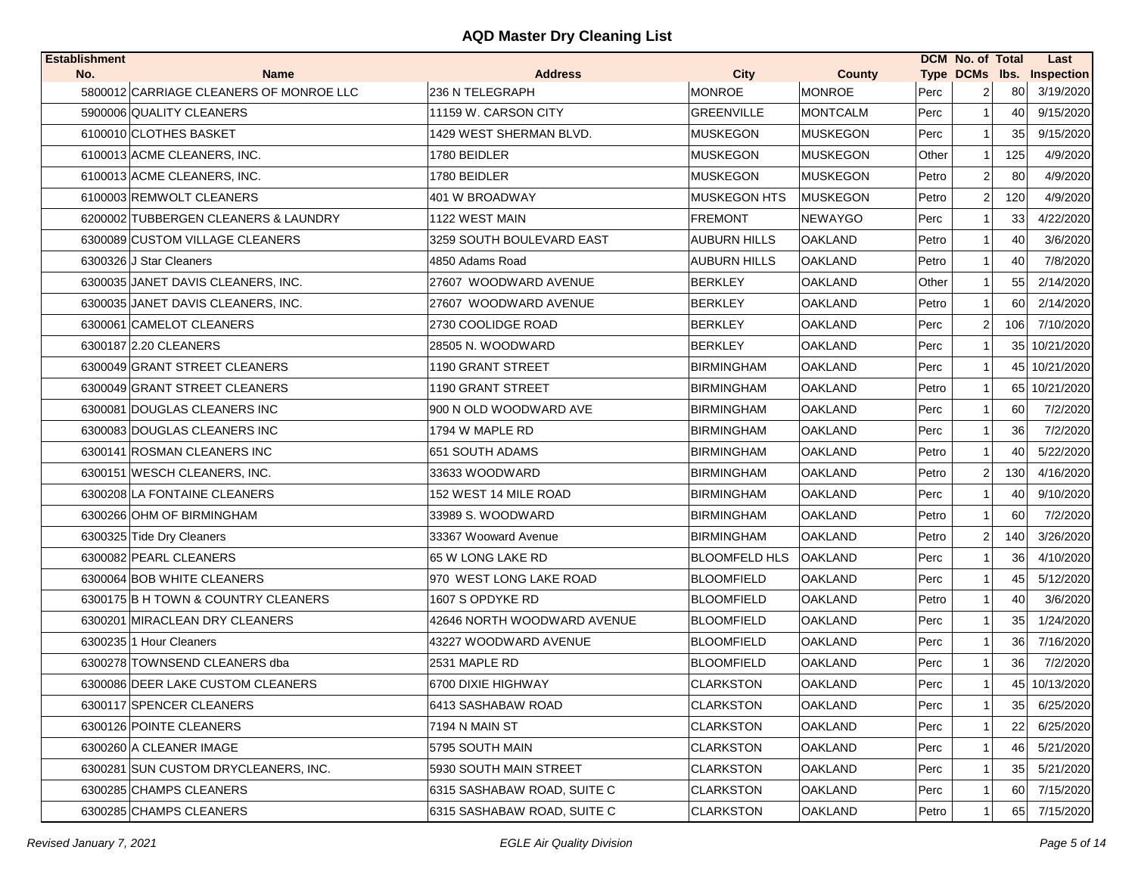| <b>Establishment</b>                    |      |                             |                      |                 |       | <b>DCM No. of Total</b> |     | Last                      |
|-----------------------------------------|------|-----------------------------|----------------------|-----------------|-------|-------------------------|-----|---------------------------|
| No.                                     | Name | <b>Address</b>              | <b>City</b>          | County          |       |                         |     | Type DCMs Ibs. Inspection |
| 5800012 CARRIAGE CLEANERS OF MONROE LLC |      | 236 N TELEGRAPH             | <b>MONROE</b>        | <b>MONROE</b>   | Perc  | 2                       | 80  | 3/19/2020                 |
| 5900006 QUALITY CLEANERS                |      | 11159 W. CARSON CITY        | <b>GREENVILLE</b>    | <b>MONTCALM</b> | Perc  | 1                       | 40  | 9/15/2020                 |
| 6100010 CLOTHES BASKET                  |      | 1429 WEST SHERMAN BLVD.     | <b>MUSKEGON</b>      | <b>MUSKEGON</b> | Perc  |                         | 35  | 9/15/2020                 |
| 6100013 ACME CLEANERS, INC.             |      | 1780 BEIDLER                | <b>MUSKEGON</b>      | <b>MUSKEGON</b> | Other | 1                       | 125 | 4/9/2020                  |
| 6100013 ACME CLEANERS, INC.             |      | 1780 BEIDLER                | <b>MUSKEGON</b>      | <b>MUSKEGON</b> | Petro | $\overline{2}$          | 80  | 4/9/2020                  |
| 6100003 REMWOLT CLEANERS                |      | 401 W BROADWAY              | <b>MUSKEGON HTS</b>  | <b>MUSKEGON</b> | Petro | $\overline{2}$          | 120 | 4/9/2020                  |
| 6200002 TUBBERGEN CLEANERS & LAUNDRY    |      | 1122 WEST MAIN              | <b>FREMONT</b>       | <b>NEWAYGO</b>  | Perc  | 1                       | 33  | 4/22/2020                 |
| 6300089 CUSTOM VILLAGE CLEANERS         |      | 3259 SOUTH BOULEVARD EAST   | <b>AUBURN HILLS</b>  | <b>OAKLAND</b>  | Petro | 1                       | 40  | 3/6/2020                  |
| 6300326 J Star Cleaners                 |      | 4850 Adams Road             | <b>AUBURN HILLS</b>  | <b>OAKLAND</b>  | Petro |                         | 40  | 7/8/2020                  |
| 6300035 JANET DAVIS CLEANERS, INC.      |      | 27607 WOODWARD AVENUE       | <b>BERKLEY</b>       | OAKLAND         | Other | 1                       | 55  | 2/14/2020                 |
| 6300035 JANET DAVIS CLEANERS, INC.      |      | 27607 WOODWARD AVENUE       | <b>BERKLEY</b>       | <b>OAKLAND</b>  | Petro | 1                       | 60  | 2/14/2020                 |
| 6300061 CAMELOT CLEANERS                |      | 2730 COOLIDGE ROAD          | <b>BERKLEY</b>       | <b>OAKLAND</b>  | Perc  | 2                       | 106 | 7/10/2020                 |
| 6300187 2.20 CLEANERS                   |      | 28505 N. WOODWARD           | <b>BERKLEY</b>       | <b>OAKLAND</b>  | Perc  |                         |     | 35 10/21/2020             |
| 6300049 GRANT STREET CLEANERS           |      | 1190 GRANT STREET           | <b>BIRMINGHAM</b>    | <b>OAKLAND</b>  | Perc  | $\mathbf 1$             |     | 45 10/21/2020             |
| 6300049 GRANT STREET CLEANERS           |      | 1190 GRANT STREET           | <b>BIRMINGHAM</b>    | <b>OAKLAND</b>  | Petro | 1                       |     | 65 10/21/2020             |
| 6300081 DOUGLAS CLEANERS INC            |      | 900 N OLD WOODWARD AVE      | <b>BIRMINGHAM</b>    | <b>OAKLAND</b>  | Perc  | 1                       | 60  | 7/2/2020                  |
| 6300083 DOUGLAS CLEANERS INC            |      | 1794 W MAPLE RD             | <b>BIRMINGHAM</b>    | <b>OAKLAND</b>  | Perc  | 1                       | 36  | 7/2/2020                  |
| 6300141 ROSMAN CLEANERS INC             |      | 651 SOUTH ADAMS             | <b>BIRMINGHAM</b>    | <b>OAKLAND</b>  | Petro | 1                       | 40  | 5/22/2020                 |
| 6300151 WESCH CLEANERS, INC.            |      | 33633 WOODWARD              | <b>BIRMINGHAM</b>    | <b>OAKLAND</b>  | Petro | $\overline{2}$          | 130 | 4/16/2020                 |
| 6300208 LA FONTAINE CLEANERS            |      | 152 WEST 14 MILE ROAD       | <b>BIRMINGHAM</b>    | <b>OAKLAND</b>  | Perc  | 1                       | 40  | 9/10/2020                 |
| 6300266 OHM OF BIRMINGHAM               |      | 33989 S. WOODWARD           | <b>BIRMINGHAM</b>    | <b>OAKLAND</b>  | Petro | 1                       | 60  | 7/2/2020                  |
| 6300325 Tide Dry Cleaners               |      | 33367 Wooward Avenue        | <b>BIRMINGHAM</b>    | <b>OAKLAND</b>  | Petro | 2                       | 140 | 3/26/2020                 |
| 6300082 PEARL CLEANERS                  |      | 65 W LONG LAKE RD           | <b>BLOOMFELD HLS</b> | <b>OAKLAND</b>  | Perc  | 1                       | 36  | 4/10/2020                 |
| 6300064 BOB WHITE CLEANERS              |      | 970 WEST LONG LAKE ROAD     | <b>BLOOMFIELD</b>    | <b>OAKLAND</b>  | Perc  | $\mathbf{1}$            | 45  | 5/12/2020                 |
| 6300175 B H TOWN & COUNTRY CLEANERS     |      | 1607 S OPDYKE RD            | <b>BLOOMFIELD</b>    | <b>OAKLAND</b>  | Petro | 1                       | 40  | 3/6/2020                  |
| 6300201 MIRACLEAN DRY CLEANERS          |      | 42646 NORTH WOODWARD AVENUE | <b>BLOOMFIELD</b>    | <b>OAKLAND</b>  | Perc  | -1                      | 35  | 1/24/2020                 |
| 6300235 1 Hour Cleaners                 |      | 43227 WOODWARD AVENUE       | <b>BLOOMFIELD</b>    | <b>OAKLAND</b>  | Perc  | 1                       | 36  | 7/16/2020                 |
| 6300278 TOWNSEND CLEANERS dba           |      | 2531 MAPLE RD               | <b>BLOOMFIELD</b>    | <b>OAKLAND</b>  | Perc  | 1                       | 36  | 7/2/2020                  |
| 6300086 DEER LAKE CUSTOM CLEANERS       |      | 6700 DIXIE HIGHWAY          | <b>CLARKSTON</b>     | <b>OAKLAND</b>  | Perc  | 1                       |     | 45 10/13/2020             |
| 6300117 SPENCER CLEANERS                |      | 6413 SASHABAW ROAD          | <b>CLARKSTON</b>     | <b>OAKLAND</b>  | Perc  | 1                       | 35  | 6/25/2020                 |
| 6300126 POINTE CLEANERS                 |      | 7194 N MAIN ST              | <b>CLARKSTON</b>     | <b>OAKLAND</b>  | Perc  |                         | 22  | 6/25/2020                 |
| 6300260 A CLEANER IMAGE                 |      | 5795 SOUTH MAIN             | <b>CLARKSTON</b>     | <b>OAKLAND</b>  | Perc  |                         | 46  | 5/21/2020                 |
| 6300281 SUN CUSTOM DRYCLEANERS, INC.    |      | 5930 SOUTH MAIN STREET      | <b>CLARKSTON</b>     | <b>OAKLAND</b>  | Perc  |                         | 35  | 5/21/2020                 |
| 6300285 CHAMPS CLEANERS                 |      | 6315 SASHABAW ROAD, SUITE C | <b>CLARKSTON</b>     | <b>OAKLAND</b>  | Perc  |                         | 60  | 7/15/2020                 |
| 6300285 CHAMPS CLEANERS                 |      | 6315 SASHABAW ROAD, SUITE C | <b>CLARKSTON</b>     | <b>OAKLAND</b>  | Petro |                         | 65  | 7/15/2020                 |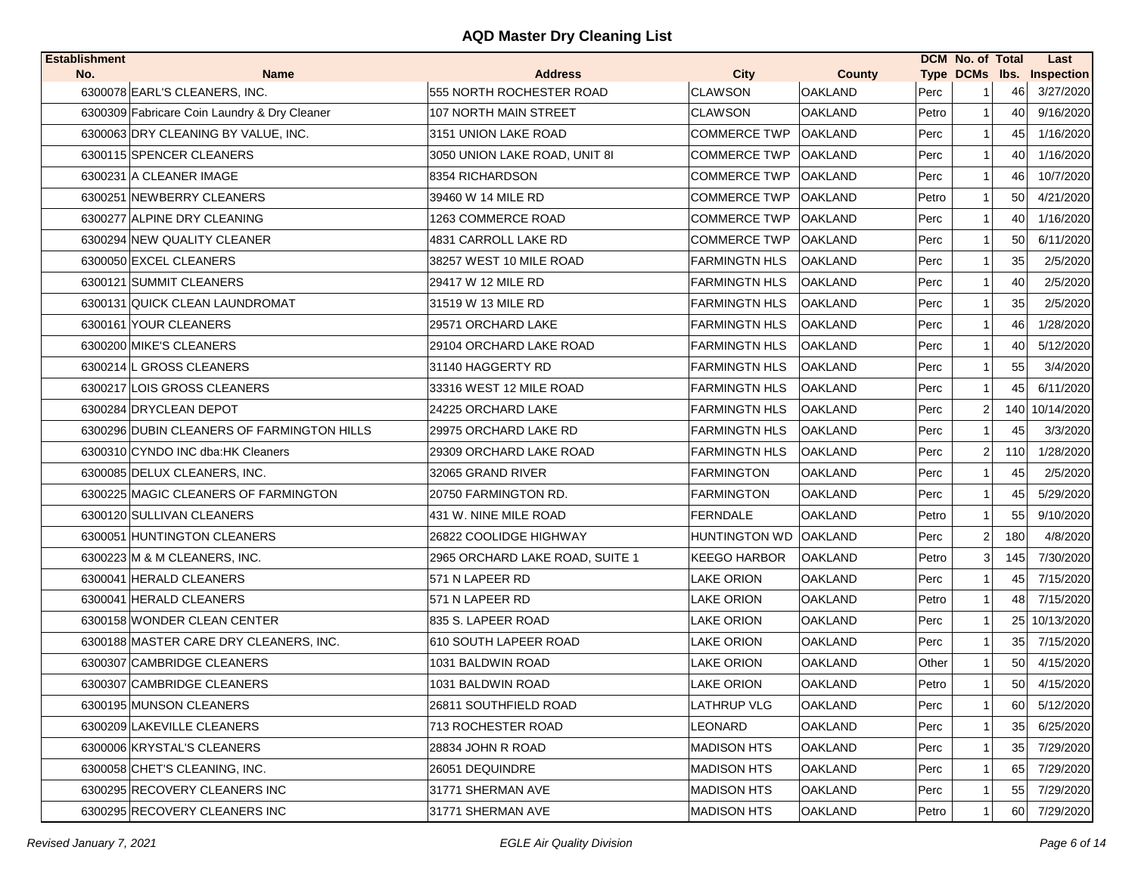| <b>Establishment</b> |                                              |                                 |                         |                |       | DCM No. of Total |                 | Last                      |
|----------------------|----------------------------------------------|---------------------------------|-------------------------|----------------|-------|------------------|-----------------|---------------------------|
| No.                  | Name                                         | <b>Address</b>                  | City                    | County         |       |                  |                 | Type DCMs lbs. Inspection |
|                      | 6300078 EARL'S CLEANERS, INC.                | 555 NORTH ROCHESTER ROAD        | <b>CLAWSON</b>          | <b>OAKLAND</b> | Perc  |                  | 46              | 3/27/2020                 |
|                      | 6300309 Fabricare Coin Laundry & Dry Cleaner | 107 NORTH MAIN STREET           | <b>CLAWSON</b>          | <b>OAKLAND</b> | Petro | 1                | 40              | 9/16/2020                 |
|                      | 6300063 DRY CLEANING BY VALUE, INC.          | 3151 UNION LAKE ROAD            | <b>COMMERCE TWP</b>     | <b>OAKLAND</b> | Perc  |                  | 45              | 1/16/2020                 |
|                      | 6300115 SPENCER CLEANERS                     | 3050 UNION LAKE ROAD, UNIT 8I   | <b>COMMERCE TWP</b>     | <b>OAKLAND</b> | Perc  | 1                | 40              | 1/16/2020                 |
|                      | 6300231 A CLEANER IMAGE                      | 8354 RICHARDSON                 | <b>COMMERCE TWP</b>     | <b>OAKLAND</b> | Perc  | 1                | 46              | 10/7/2020                 |
|                      | 6300251 NEWBERRY CLEANERS                    | 39460 W 14 MILE RD              | <b>COMMERCE TWP</b>     | <b>OAKLAND</b> | Petro | 1                | 50              | 4/21/2020                 |
|                      | 6300277 ALPINE DRY CLEANING                  | 1263 COMMERCE ROAD              | <b>COMMERCE TWP</b>     | <b>OAKLAND</b> | Perc  | 1                | 40              | 1/16/2020                 |
|                      | 6300294 NEW QUALITY CLEANER                  | 4831 CARROLL LAKE RD            | <b>COMMERCE TWP</b>     | <b>OAKLAND</b> | Perc  | 1                | 50              | 6/11/2020                 |
|                      | 6300050 EXCEL CLEANERS                       | 38257 WEST 10 MILE ROAD         | <b>FARMINGTN HLS</b>    | <b>OAKLAND</b> | Perc  |                  | 35              | 2/5/2020                  |
|                      | 6300121 SUMMIT CLEANERS                      | 29417 W 12 MILE RD              | <b>FARMINGTN HLS</b>    | <b>OAKLAND</b> | Perc  | 1                | 40              | 2/5/2020                  |
|                      | 6300131 QUICK CLEAN LAUNDROMAT               | 31519 W 13 MILE RD              | <b>FARMINGTN HLS</b>    | <b>OAKLAND</b> | Perc  | $\mathbf 1$      | 35              | 2/5/2020                  |
|                      | 6300161 YOUR CLEANERS                        | 29571 ORCHARD LAKE              | <b>FARMINGTN HLS</b>    | <b>OAKLAND</b> | Perc  | 1                | 46              | 1/28/2020                 |
|                      | 6300200 MIKE'S CLEANERS                      | 29104 ORCHARD LAKE ROAD         | <b>FARMINGTN HLS</b>    | <b>OAKLAND</b> | Perc  | $\mathbf{1}$     | 40              | 5/12/2020                 |
|                      | 6300214 L GROSS CLEANERS                     | 31140 HAGGERTY RD               | <b>FARMINGTN HLS</b>    | <b>OAKLAND</b> | Perc  | 1                | 55              | 3/4/2020                  |
|                      | 6300217 LOIS GROSS CLEANERS                  | 33316 WEST 12 MILE ROAD         | <b>FARMINGTN HLS</b>    | OAKLAND        | Perc  | 1                | 45              | 6/11/2020                 |
|                      | 6300284 DRYCLEAN DEPOT                       | 24225 ORCHARD LAKE              | <b>FARMINGTN HLS</b>    | <b>OAKLAND</b> | Perc  | $\overline{2}$   | 140             | 10/14/2020                |
|                      | 6300296 DUBIN CLEANERS OF FARMINGTON HILLS   | 29975 ORCHARD LAKE RD           | <b>FARMINGTN HLS</b>    | OAKLAND        | Perc  | 1                | 45              | 3/3/2020                  |
|                      | 6300310 CYNDO INC dba: HK Cleaners           | 29309 ORCHARD LAKE ROAD         | <b>FARMINGTN HLS</b>    | <b>OAKLAND</b> | Perc  | $\overline{2}$   | 110             | 1/28/2020                 |
|                      | 6300085 DELUX CLEANERS, INC.                 | 32065 GRAND RIVER               | <b>FARMINGTON</b>       | <b>OAKLAND</b> | Perc  | 1                | 45              | 2/5/2020                  |
|                      | 6300225 MAGIC CLEANERS OF FARMINGTON         | 20750 FARMINGTON RD.            | <b>FARMINGTON</b>       | <b>OAKLAND</b> | Perc  | 1                | 45              | 5/29/2020                 |
|                      | 6300120 SULLIVAN CLEANERS                    | 431 W. NINE MILE ROAD           | <b>FERNDALE</b>         | <b>OAKLAND</b> | Petro | 1                | 55              | 9/10/2020                 |
|                      | 6300051 HUNTINGTON CLEANERS                  | 26822 COOLIDGE HIGHWAY          | HUNTINGTON WD   OAKLAND |                | Perc  | $\overline{2}$   | 180             | 4/8/2020                  |
|                      | 6300223 M & M CLEANERS, INC.                 | 2965 ORCHARD LAKE ROAD, SUITE 1 | <b>KEEGO HARBOR</b>     | <b>OAKLAND</b> | Petro | 3                | 145             | 7/30/2020                 |
|                      | 6300041 HERALD CLEANERS                      | 571 N LAPEER RD                 | LAKE ORION              | <b>OAKLAND</b> | Perc  | $\mathbf{1}$     | 45              | 7/15/2020                 |
|                      | 6300041 HERALD CLEANERS                      | 571 N LAPEER RD                 | LAKE ORION              | <b>OAKLAND</b> | Petro | 1                | 48              | 7/15/2020                 |
|                      | 6300158 WONDER CLEAN CENTER                  | 835 S. LAPEER ROAD              | <b>LAKE ORION</b>       | <b>OAKLAND</b> | Perc  | -1               |                 | 25 10/13/2020             |
|                      | 6300188 MASTER CARE DRY CLEANERS, INC.       | 610 SOUTH LAPEER ROAD           | <b>LAKE ORION</b>       | <b>OAKLAND</b> | Perc  | 1                | 35 <sub>1</sub> | 7/15/2020                 |
|                      | 6300307 CAMBRIDGE CLEANERS                   | 1031 BALDWIN ROAD               | LAKE ORION              | <b>OAKLAND</b> | Other | 1                | 50              | 4/15/2020                 |
|                      | 6300307 CAMBRIDGE CLEANERS                   | 1031 BALDWIN ROAD               | LAKE ORION              | <b>OAKLAND</b> | Petro | $\mathbf{1}$     | 50 <sub>1</sub> | 4/15/2020                 |
|                      | 6300195 MUNSON CLEANERS                      | 26811 SOUTHFIELD ROAD           | <b>LATHRUP VLG</b>      | <b>OAKLAND</b> | Perc  | 1                | 60              | 5/12/2020                 |
|                      | 6300209 LAKEVILLE CLEANERS                   | 713 ROCHESTER ROAD              | LEONARD                 | OAKLAND        | Perc  |                  | 35              | 6/25/2020                 |
|                      | 6300006 KRYSTAL'S CLEANERS                   | 28834 JOHN R ROAD               | <b>MADISON HTS</b>      | <b>OAKLAND</b> | Perc  |                  | 35              | 7/29/2020                 |
|                      | 6300058 CHET'S CLEANING, INC.                | 26051 DEQUINDRE                 | <b>MADISON HTS</b>      | <b>OAKLAND</b> | Perc  |                  | 65              | 7/29/2020                 |
|                      | 6300295 RECOVERY CLEANERS INC                | 31771 SHERMAN AVE               | <b>MADISON HTS</b>      | <b>OAKLAND</b> | Perc  |                  | 55              | 7/29/2020                 |
|                      | 6300295 RECOVERY CLEANERS INC                | 31771 SHERMAN AVE               | <b>MADISON HTS</b>      | <b>OAKLAND</b> | Petro |                  | 60              | 7/29/2020                 |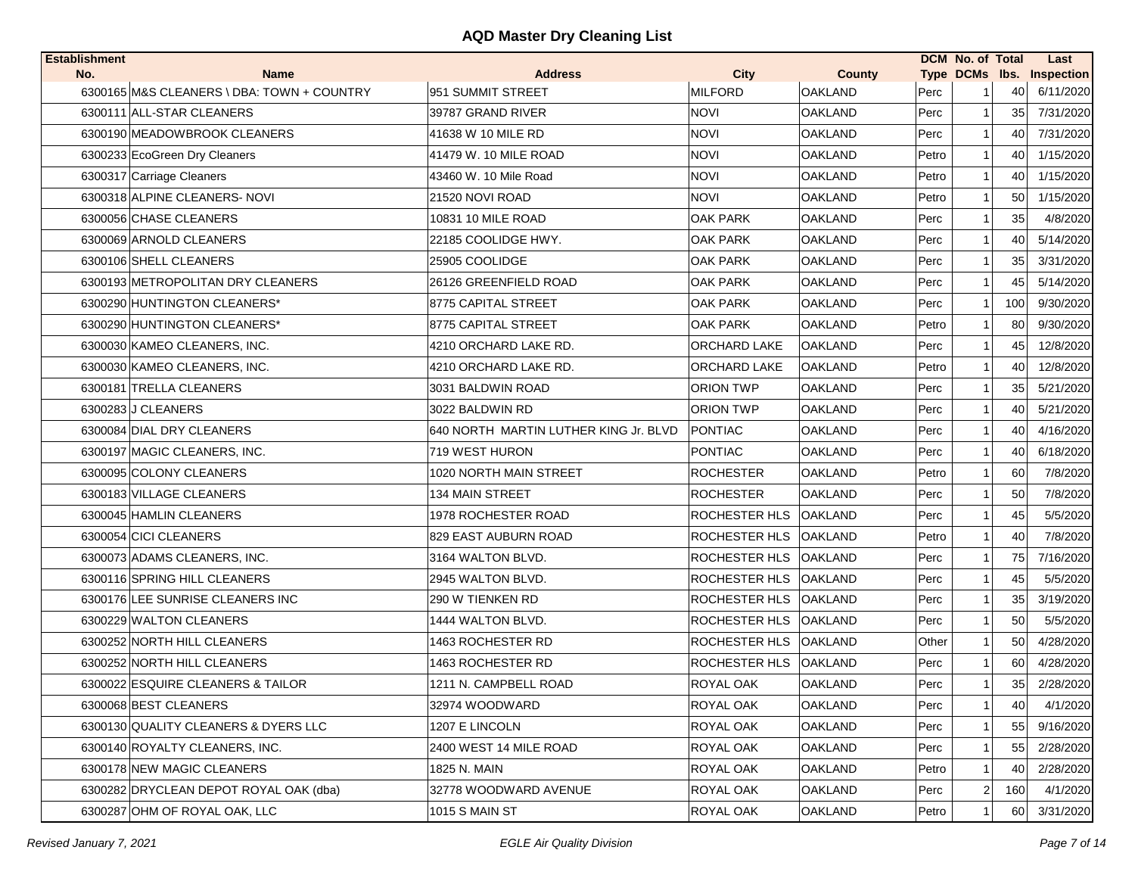| No.<br><b>Name</b><br><b>Address</b><br><b>City</b><br><b>County</b><br>Type DCMs Ibs. Inspection<br><b>MILFORD</b><br>6300165 M&S CLEANERS \ DBA: TOWN + COUNTRY<br>951 SUMMIT STREET<br><b>OAKLAND</b><br>Perc<br>40<br>6/11/2020<br>6300111 ALL-STAR CLEANERS<br>39787 GRAND RIVER<br><b>NOVI</b><br><b>OAKLAND</b><br>Perc<br>35<br>7/31/2020<br>1<br>6300190 MEADOWBROOK CLEANERS<br><b>NOVI</b><br><b>OAKLAND</b><br>41638 W 10 MILE RD<br>Perc<br>40<br>7/31/2020<br>1 |          |
|-------------------------------------------------------------------------------------------------------------------------------------------------------------------------------------------------------------------------------------------------------------------------------------------------------------------------------------------------------------------------------------------------------------------------------------------------------------------------------|----------|
|                                                                                                                                                                                                                                                                                                                                                                                                                                                                               |          |
|                                                                                                                                                                                                                                                                                                                                                                                                                                                                               |          |
|                                                                                                                                                                                                                                                                                                                                                                                                                                                                               |          |
|                                                                                                                                                                                                                                                                                                                                                                                                                                                                               |          |
| <b>NOVI</b><br>6300233 EcoGreen Dry Cleaners<br>41479 W. 10 MILE ROAD<br><b>OAKLAND</b><br>Petro<br>1/15/2020<br>1<br>40                                                                                                                                                                                                                                                                                                                                                      |          |
| <b>NOVI</b><br>6300317 Carriage Cleaners<br>43460 W. 10 Mile Road<br><b>OAKLAND</b><br>Petro<br>1/15/2020<br>40<br>1                                                                                                                                                                                                                                                                                                                                                          |          |
| 6300318 ALPINE CLEANERS- NOVI<br><b>NOVI</b><br>1/15/2020<br>21520 NOVI ROAD<br><b>OAKLAND</b><br>Petro<br>50<br>1                                                                                                                                                                                                                                                                                                                                                            |          |
| 6300056 CHASE CLEANERS<br>10831 10 MILE ROAD<br><b>OAK PARK</b><br><b>OAKLAND</b><br>Perc<br>35<br>-1                                                                                                                                                                                                                                                                                                                                                                         | 4/8/2020 |
| 5/14/2020<br>6300069 ARNOLD CLEANERS<br>22185 COOLIDGE HWY.<br>OAK PARK<br><b>OAKLAND</b><br>40<br>Perc                                                                                                                                                                                                                                                                                                                                                                       |          |
| 6300106 SHELL CLEANERS<br>25905 COOLIDGE<br><b>OAK PARK</b><br><b>OAKLAND</b><br>Perc<br>35<br>3/31/2020<br>$\mathbf 1$                                                                                                                                                                                                                                                                                                                                                       |          |
| Perc<br>45<br>5/14/2020<br>6300193 METROPOLITAN DRY CLEANERS<br>26126 GREENFIELD ROAD<br><b>OAK PARK</b><br><b>OAKLAND</b><br>1                                                                                                                                                                                                                                                                                                                                               |          |
| 100<br>9/30/2020<br>6300290 HUNTINGTON CLEANERS*<br>8775 CAPITAL STREET<br>OAK PARK<br><b>OAKLAND</b><br>Perc                                                                                                                                                                                                                                                                                                                                                                 |          |
| 80<br>9/30/2020<br>6300290 HUNTINGTON CLEANERS*<br>8775 CAPITAL STREET<br>OAK PARK<br><b>OAKLAND</b><br>Petro                                                                                                                                                                                                                                                                                                                                                                 |          |
| 6300030 KAMEO CLEANERS, INC.<br>4210 ORCHARD LAKE RD.<br>ORCHARD LAKE<br><b>OAKLAND</b><br>Perc<br>45<br>12/8/2020<br>1                                                                                                                                                                                                                                                                                                                                                       |          |
| <b>ORCHARD LAKE</b><br>Petro<br>12/8/2020<br>6300030 KAMEO CLEANERS, INC.<br>4210 ORCHARD LAKE RD.<br><b>OAKLAND</b><br>40<br>1                                                                                                                                                                                                                                                                                                                                               |          |
| 6300181 TRELLA CLEANERS<br>3031 BALDWIN ROAD<br>ORION TWP<br><b>OAKLAND</b><br>Perc<br>35<br>5/21/2020<br>1                                                                                                                                                                                                                                                                                                                                                                   |          |
| 6300283 J CLEANERS<br>3022 BALDWIN RD<br>ORION TWP<br><b>OAKLAND</b><br>Perc<br>40<br>5/21/2020<br>1                                                                                                                                                                                                                                                                                                                                                                          |          |
| 6300084 DIAL DRY CLEANERS<br>640 NORTH MARTIN LUTHER KING Jr. BLVD<br><b>PONTIAC</b><br><b>OAKLAND</b><br>Perc<br>40<br>4/16/2020<br>1                                                                                                                                                                                                                                                                                                                                        |          |
| 719 WEST HURON<br><b>PONTIAC</b><br><b>OAKLAND</b><br>6/18/2020<br>6300197 MAGIC CLEANERS, INC.<br>Perc<br>40<br>$\mathbf 1$                                                                                                                                                                                                                                                                                                                                                  |          |
| 6300095 COLONY CLEANERS<br>1020 NORTH MAIN STREET<br><b>ROCHESTER</b><br><b>OAKLAND</b><br>Petro<br>60<br>-1                                                                                                                                                                                                                                                                                                                                                                  | 7/8/2020 |
| 6300183 VILLAGE CLEANERS<br>134 MAIN STREET<br><b>ROCHESTER</b><br><b>OAKLAND</b><br>Perc<br>50                                                                                                                                                                                                                                                                                                                                                                               | 7/8/2020 |
| 6300045 HAMLIN CLEANERS<br>1978 ROCHESTER ROAD<br>ROCHESTER HLS<br><b>OAKLAND</b><br>Perc<br>45<br>-1                                                                                                                                                                                                                                                                                                                                                                         | 5/5/2020 |
| 6300054 CICI CLEANERS<br>ROCHESTER HLS<br>829 EAST AUBURN ROAD<br><b>OAKLAND</b><br>Petro<br>$\mathbf{1}$<br>40                                                                                                                                                                                                                                                                                                                                                               | 7/8/2020 |
| ROCHESTER HLS   OAKLAND<br>75<br>7/16/2020<br>6300073 ADAMS CLEANERS, INC.<br>3164 WALTON BLVD.<br>Perc<br>1                                                                                                                                                                                                                                                                                                                                                                  |          |
| ROCHESTER HLS<br>45<br>6300116 SPRING HILL CLEANERS<br>2945 WALTON BLVD.<br><b>OAKLAND</b><br>Perc<br>$\mathbf{1}$                                                                                                                                                                                                                                                                                                                                                            | 5/5/2020 |
| 35<br>3/19/2020<br>6300176 LEE SUNRISE CLEANERS INC<br>290 W TIENKEN RD<br>ROCHESTER HLS<br><b>OAKLAND</b><br>Perc                                                                                                                                                                                                                                                                                                                                                            |          |
| 50<br>6300229 WALTON CLEANERS<br>1444 WALTON BLVD.<br><b>ROCHESTER HLS</b><br><b>OAKLAND</b><br>Perc<br>1                                                                                                                                                                                                                                                                                                                                                                     | 5/5/2020 |
| 6300252 NORTH HILL CLEANERS<br>ROCHESTER HLS OAKLAND<br>1463 ROCHESTER RD<br>Other<br>50<br>4/28/2020<br>1                                                                                                                                                                                                                                                                                                                                                                    |          |
| 6300252 NORTH HILL CLEANERS<br>1463 ROCHESTER RD<br>ROCHESTER HLS<br><b>OAKLAND</b><br>Perc<br>60<br>4/28/2020<br>1                                                                                                                                                                                                                                                                                                                                                           |          |
| 6300022 ESQUIRE CLEANERS & TAILOR<br><b>ROYAL OAK</b><br>35<br>2/28/2020<br>1211 N. CAMPBELL ROAD<br><b>OAKLAND</b><br>Perc<br>1                                                                                                                                                                                                                                                                                                                                              |          |
| 6300068 BEST CLEANERS<br>ROYAL OAK<br><b>OAKLAND</b><br>Perc<br>32974 WOODWARD<br>40<br>1                                                                                                                                                                                                                                                                                                                                                                                     | 4/1/2020 |
| 6300130 QUALITY CLEANERS & DYERS LLC<br>1207 E LINCOLN<br>ROYAL OAK<br><b>OAKLAND</b><br>9/16/2020<br>Perc<br>55                                                                                                                                                                                                                                                                                                                                                              |          |
| 2400 WEST 14 MILE ROAD<br>ROYAL OAK<br>6300140 ROYALTY CLEANERS. INC.<br><b>OAKLAND</b><br>Perc<br>55<br>2/28/2020                                                                                                                                                                                                                                                                                                                                                            |          |
| ROYAL OAK<br>6300178 NEW MAGIC CLEANERS<br>1825 N. MAIN<br><b>OAKLAND</b><br>Petro<br>40<br>2/28/2020<br>1                                                                                                                                                                                                                                                                                                                                                                    |          |
| 6300282 DRYCLEAN DEPOT ROYAL OAK (dba)<br>32778 WOODWARD AVENUE<br>ROYAL OAK<br><b>OAKLAND</b><br>Perc<br>$\overline{2}$<br>160                                                                                                                                                                                                                                                                                                                                               | 4/1/2020 |
| 6300287 OHM OF ROYAL OAK, LLC<br>1015 S MAIN ST<br>ROYAL OAK<br><b>OAKLAND</b><br>Petro<br>3/31/2020<br>60<br>1                                                                                                                                                                                                                                                                                                                                                               |          |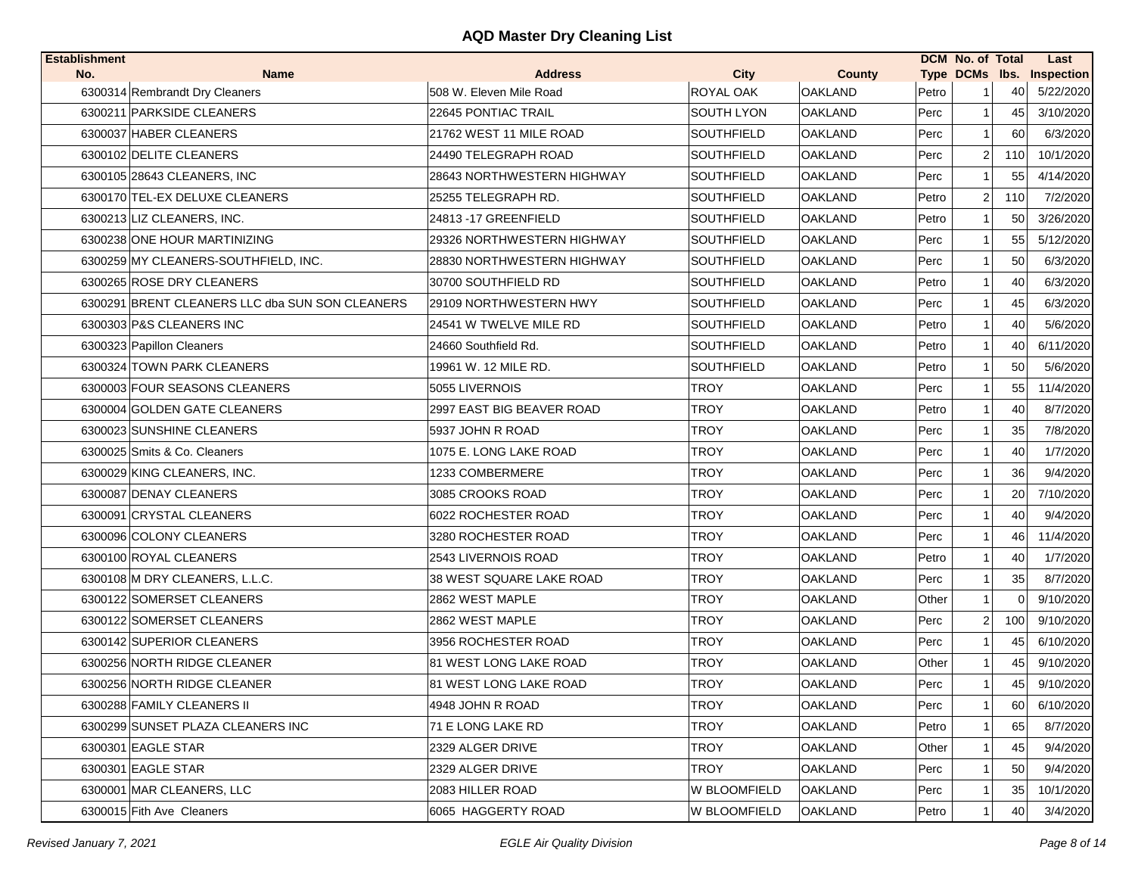| <b>Establishment</b> |                                                 |                                 |                   |                |       | DCM No. of Total |          | Last                      |
|----------------------|-------------------------------------------------|---------------------------------|-------------------|----------------|-------|------------------|----------|---------------------------|
| No.                  | <b>Name</b>                                     | <b>Address</b>                  | <b>City</b>       | County         |       |                  |          | Type DCMs Ibs. Inspection |
|                      | 6300314 Rembrandt Dry Cleaners                  | 508 W. Eleven Mile Road         | ROYAL OAK         | <b>OAKLAND</b> | Petro |                  | 40       | 5/22/2020                 |
|                      | 6300211 PARKSIDE CLEANERS                       | 22645 PONTIAC TRAIL             | SOUTH LYON        | <b>OAKLAND</b> | Perc  | 1                | 45       | 3/10/2020                 |
|                      | 6300037 HABER CLEANERS                          | 21762 WEST 11 MILE ROAD         | <b>SOUTHFIELD</b> | <b>OAKLAND</b> | Perc  |                  | 60       | 6/3/2020                  |
|                      | 6300102 DELITE CLEANERS                         | 24490 TELEGRAPH ROAD            | <b>SOUTHFIELD</b> | <b>OAKLAND</b> | Perc  | $\overline{2}$   | 110      | 10/1/2020                 |
|                      | 6300105 28643 CLEANERS, INC                     | 28643 NORTHWESTERN HIGHWAY      | <b>SOUTHFIELD</b> | <b>OAKLAND</b> | Perc  | 1                | 55       | 4/14/2020                 |
|                      | 6300170 TEL-EX DELUXE CLEANERS                  | 25255 TELEGRAPH RD.             | <b>SOUTHFIELD</b> | <b>OAKLAND</b> | Petro | $\overline{2}$   | 110      | 7/2/2020                  |
|                      | 6300213 LIZ CLEANERS, INC.                      | 24813 - 17 GREENFIELD           | <b>SOUTHFIELD</b> | <b>OAKLAND</b> | Petro |                  | 50       | 3/26/2020                 |
|                      | 6300238 ONE HOUR MARTINIZING                    | 29326 NORTHWESTERN HIGHWAY      | <b>SOUTHFIELD</b> | <b>OAKLAND</b> | Perc  |                  | 55       | 5/12/2020                 |
|                      | 6300259 MY CLEANERS-SOUTHFIELD, INC.            | 28830 NORTHWESTERN HIGHWAY      | <b>SOUTHFIELD</b> | <b>OAKLAND</b> | Perc  |                  | 50       | 6/3/2020                  |
|                      | 6300265 ROSE DRY CLEANERS                       | 30700 SOUTHFIELD RD             | SOUTHFIELD        | <b>OAKLAND</b> | Petro | 1                | 40       | 6/3/2020                  |
|                      | 6300291 BRENT CLEANERS LLC dba SUN SON CLEANERS | 29109 NORTHWESTERN HWY          | <b>SOUTHFIELD</b> | <b>OAKLAND</b> | Perc  | $\mathbf 1$      | 45       | 6/3/2020                  |
|                      | 6300303 P&S CLEANERS INC                        | 24541 W TWELVE MILE RD          | <b>SOUTHFIELD</b> | <b>OAKLAND</b> | Petro | $\mathbf{1}$     | 40       | 5/6/2020                  |
|                      | 6300323 Papillon Cleaners                       | 24660 Southfield Rd.            | <b>SOUTHFIELD</b> | <b>OAKLAND</b> | Petro | $\mathbf{1}$     | 40       | 6/11/2020                 |
|                      | 6300324 TOWN PARK CLEANERS                      | 19961 W. 12 MILE RD.            | SOUTHFIELD        | <b>OAKLAND</b> | Petro | $\mathbf 1$      | 50       | 5/6/2020                  |
|                      | 6300003 FOUR SEASONS CLEANERS                   | 5055 LIVERNOIS                  | TROY              | <b>OAKLAND</b> | Perc  | 1                | 55       | 11/4/2020                 |
|                      | 6300004 GOLDEN GATE CLEANERS                    | 2997 EAST BIG BEAVER ROAD       | TROY              | <b>OAKLAND</b> | Petro | 1                | 40       | 8/7/2020                  |
|                      | 6300023 SUNSHINE CLEANERS                       | 5937 JOHN R ROAD                | TROY              | <b>OAKLAND</b> | Perc  | 1                | 35       | 7/8/2020                  |
|                      | 6300025 Smits & Co. Cleaners                    | 1075 E. LONG LAKE ROAD          | <b>TROY</b>       | <b>OAKLAND</b> | Perc  | 1                | 40       | 1/7/2020                  |
|                      | 6300029 KING CLEANERS, INC.                     | 1233 COMBERMERE                 | <b>TROY</b>       | <b>OAKLAND</b> | Perc  |                  | 36       | 9/4/2020                  |
|                      | 6300087 DENAY CLEANERS                          | 3085 CROOKS ROAD                | <b>TROY</b>       | <b>OAKLAND</b> | Perc  |                  | 20       | 7/10/2020                 |
|                      | 6300091 CRYSTAL CLEANERS                        | 6022 ROCHESTER ROAD             | <b>TROY</b>       | <b>OAKLAND</b> | Perc  | 1                | 40       | 9/4/2020                  |
|                      | 6300096 COLONY CLEANERS                         | 3280 ROCHESTER ROAD             | TROY              | <b>OAKLAND</b> | Perc  |                  | 46       | 11/4/2020                 |
|                      | 6300100 ROYAL CLEANERS                          | 2543 LIVERNOIS ROAD             | <b>TROY</b>       | <b>OAKLAND</b> | Petro | 1                | 40       | 1/7/2020                  |
|                      | 6300108 M DRY CLEANERS, L.L.C.                  | <b>38 WEST SQUARE LAKE ROAD</b> | <b>TROY</b>       | <b>OAKLAND</b> | Perc  | $\mathbf{1}$     | 35       | 8/7/2020                  |
|                      | 6300122 SOMERSET CLEANERS                       | 2862 WEST MAPLE                 | <b>TROY</b>       | <b>OAKLAND</b> | Other | $\mathbf{1}$     | $\Omega$ | 9/10/2020                 |
|                      | 6300122 SOMERSET CLEANERS                       | 2862 WEST MAPLE                 | TROY              | <b>OAKLAND</b> | Perc  | $\overline{2}$   | 100      | 9/10/2020                 |
|                      | 6300142 SUPERIOR CLEANERS                       | 3956 ROCHESTER ROAD             | <b>TROY</b>       | <b>OAKLAND</b> | Perc  |                  | 45       | 6/10/2020                 |
|                      | 6300256 NORTH RIDGE CLEANER                     | 81 WEST LONG LAKE ROAD          | TROY              | <b>OAKLAND</b> | Other | 1                | 45       | 9/10/2020                 |
|                      | 6300256 NORTH RIDGE CLEANER                     | 81 WEST LONG LAKE ROAD          | <b>TROY</b>       | <b>OAKLAND</b> | Perc  | 1                | 45       | 9/10/2020                 |
|                      | 6300288 FAMILY CLEANERS II                      | 4948 JOHN R ROAD                | TROY              | <b>OAKLAND</b> | Perc  | 1                | 60       | 6/10/2020                 |
|                      | 6300299 SUNSET PLAZA CLEANERS INC               | 71 E LONG LAKE RD               | <b>TROY</b>       | <b>OAKLAND</b> | Petro |                  | 65       | 8/7/2020                  |
|                      | 6300301 EAGLE STAR                              | 2329 ALGER DRIVE                | <b>TROY</b>       | <b>OAKLAND</b> | Other |                  | 45       | 9/4/2020                  |
|                      | 6300301 EAGLE STAR                              | 2329 ALGER DRIVE                | <b>TROY</b>       | <b>OAKLAND</b> | Perc  |                  | 50       | 9/4/2020                  |
|                      | 6300001 MAR CLEANERS, LLC                       | 2083 HILLER ROAD                | W BLOOMFIELD      | <b>OAKLAND</b> | Perc  |                  | 35       | 10/1/2020                 |
|                      | 6300015 Fith Ave Cleaners                       | 6065 HAGGERTY ROAD              | W BLOOMFIELD      | <b>OAKLAND</b> | Petro |                  | 40       | 3/4/2020                  |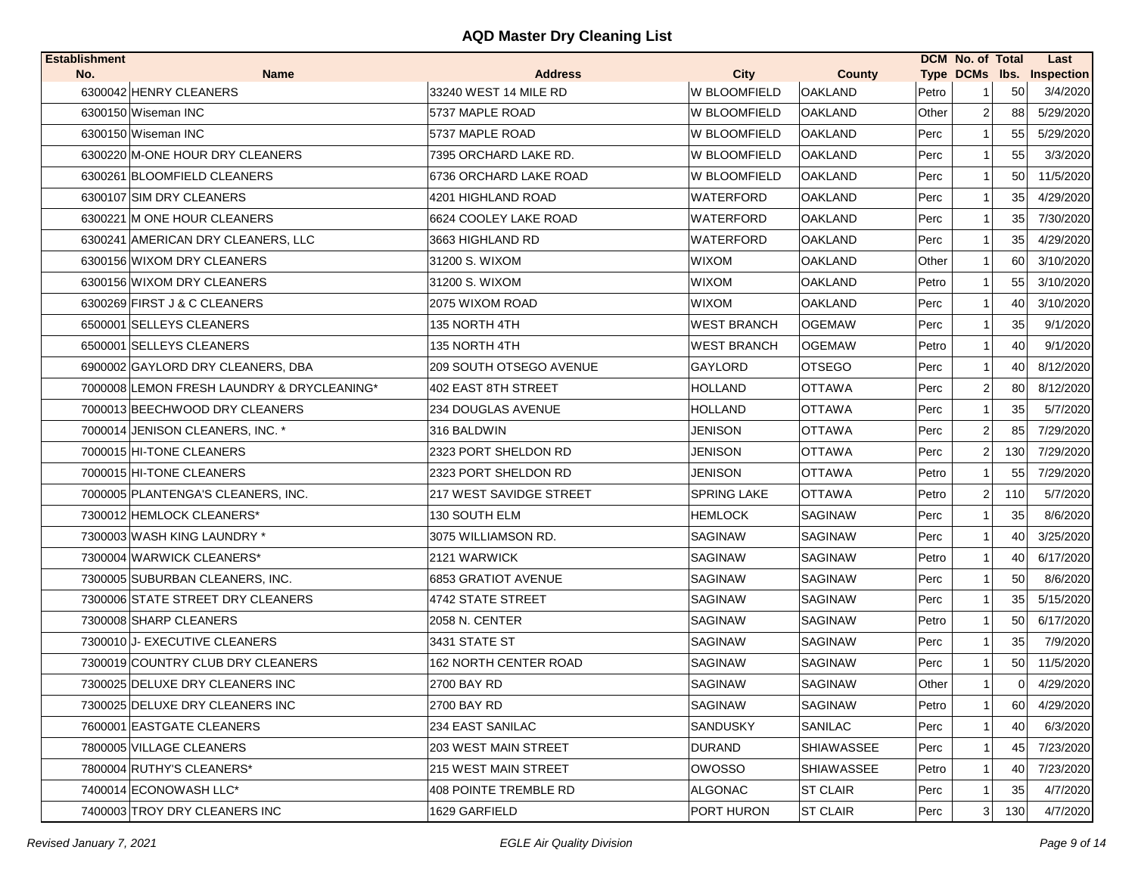| <b>Establishment</b> |                                            |                              |                     |                   |       | <b>DCM No. of Total</b> |          | Last                      |
|----------------------|--------------------------------------------|------------------------------|---------------------|-------------------|-------|-------------------------|----------|---------------------------|
| No.                  | <b>Name</b>                                | <b>Address</b>               | <b>City</b>         | <b>County</b>     |       |                         |          | Type DCMs lbs. Inspection |
|                      | 6300042 HENRY CLEANERS                     | 33240 WEST 14 MILE RD        | <b>W BLOOMFIELD</b> | <b>OAKLAND</b>    | Petro |                         | 50       | 3/4/2020                  |
|                      | 6300150 Wiseman INC                        | 5737 MAPLE ROAD              | W BLOOMFIELD        | <b>OAKLAND</b>    | Other | $\overline{2}$          | 88       | 5/29/2020                 |
|                      | 6300150 Wiseman INC                        | 5737 MAPLE ROAD              | W BLOOMFIELD        | <b>OAKLAND</b>    | Perc  |                         | 55       | 5/29/2020                 |
|                      | 6300220 M-ONE HOUR DRY CLEANERS            | 7395 ORCHARD LAKE RD.        | W BLOOMFIELD        | <b>OAKLAND</b>    | Perc  | 1                       | 55       | 3/3/2020                  |
|                      | 6300261 BLOOMFIELD CLEANERS                | 6736 ORCHARD LAKE ROAD       | W BLOOMFIELD        | <b>OAKLAND</b>    | Perc  |                         | 50       | 11/5/2020                 |
|                      | 6300107 SIM DRY CLEANERS                   | 4201 HIGHLAND ROAD           | WATERFORD           | <b>OAKLAND</b>    | Perc  | -1                      | 35       | 4/29/2020                 |
|                      | 6300221 M ONE HOUR CLEANERS                | 6624 COOLEY LAKE ROAD        | WATERFORD           | <b>OAKLAND</b>    | Perc  | -1                      | 35       | 7/30/2020                 |
|                      | 6300241 AMERICAN DRY CLEANERS, LLC         | 3663 HIGHLAND RD             | WATERFORD           | OAKLAND           | Perc  |                         | 35       | 4/29/2020                 |
|                      | 6300156 WIXOM DRY CLEANERS                 | 31200 S. WIXOM               | <b>WIXOM</b>        | <b>OAKLAND</b>    | Other | 1                       | 60       | 3/10/2020                 |
|                      | 6300156 WIXOM DRY CLEANERS                 | 31200 S. WIXOM               | <b>WIXOM</b>        | <b>OAKLAND</b>    | Petro |                         | 55       | 3/10/2020                 |
|                      | 6300269 FIRST J & C CLEANERS               | 2075 WIXOM ROAD              | <b>WIXOM</b>        | OAKLAND           | Perc  | 1                       | 40       | 3/10/2020                 |
|                      | 6500001 SELLEYS CLEANERS                   | 135 NORTH 4TH                | <b>WEST BRANCH</b>  | <b>OGEMAW</b>     | Perc  | 1                       | 35       | 9/1/2020                  |
|                      | 6500001 SELLEYS CLEANERS                   | 135 NORTH 4TH                | <b>WEST BRANCH</b>  | <b>OGEMAW</b>     | Petro | 1                       | 40       | 9/1/2020                  |
|                      | 6900002 GAYLORD DRY CLEANERS, DBA          | 209 SOUTH OTSEGO AVENUE      | GAYLORD             | <b>OTSEGO</b>     | Perc  |                         | 40       | 8/12/2020                 |
|                      | 7000008 LEMON FRESH LAUNDRY & DRYCLEANING* | 402 EAST 8TH STREET          | <b>HOLLAND</b>      | <b>OTTAWA</b>     | Perc  | 2                       | 80       | 8/12/2020                 |
|                      | 7000013 BEECHWOOD DRY CLEANERS             | 234 DOUGLAS AVENUE           | <b>HOLLAND</b>      | <b>OTTAWA</b>     | Perc  |                         | 35       | 5/7/2020                  |
|                      | 7000014 JENISON CLEANERS. INC. *           | 316 BALDWIN                  | JENISON             | <b>OTTAWA</b>     | Perc  | $\overline{2}$          | 85       | 7/29/2020                 |
|                      | 7000015 HI-TONE CLEANERS                   | 2323 PORT SHELDON RD         | JENISON             | <b>OTTAWA</b>     | Perc  | 2                       | 130      | 7/29/2020                 |
|                      | 7000015 HI-TONE CLEANERS                   | 2323 PORT SHELDON RD         | JENISON             | <b>OTTAWA</b>     | Petro | 1                       | 55       | 7/29/2020                 |
|                      | 7000005 PLANTENGA'S CLEANERS, INC.         | 217 WEST SAVIDGE STREET      | <b>SPRING LAKE</b>  | <b>OTTAWA</b>     | Petro | 2                       | 110      | 5/7/2020                  |
|                      | 7300012 HEMLOCK CLEANERS*                  | 130 SOUTH ELM                | <b>HEMLOCK</b>      | SAGINAW           | Perc  |                         | 35       | 8/6/2020                  |
|                      | 7300003 WASH KING LAUNDRY *                | 3075 WILLIAMSON RD.          | SAGINAW             | <b>SAGINAW</b>    | Perc  |                         | 40       | 3/25/2020                 |
|                      | 7300004 WARWICK CLEANERS*                  | 2121 WARWICK                 | SAGINAW             | <b>SAGINAW</b>    | Petro | 1                       | 40       | 6/17/2020                 |
|                      | 7300005 SUBURBAN CLEANERS, INC.            | 6853 GRATIOT AVENUE          | SAGINAW             | <b>SAGINAW</b>    | Perc  | 1                       | 50       | 8/6/2020                  |
|                      | 7300006 STATE STREET DRY CLEANERS          | 4742 STATE STREET            | SAGINAW             | <b>SAGINAW</b>    | Perc  | 1                       | 35       | 5/15/2020                 |
|                      | 7300008 SHARP CLEANERS                     | 2058 N. CENTER               | SAGINAW             | SAGINAW           | Petro | 1                       | 50       | 6/17/2020                 |
|                      | 7300010 J- EXECUTIVE CLEANERS              | 3431 STATE ST                | <b>SAGINAW</b>      | <b>SAGINAW</b>    | Perc  |                         | 35       | 7/9/2020                  |
|                      | 7300019 COUNTRY CLUB DRY CLEANERS          | 162 NORTH CENTER ROAD        | SAGINAW             | <b>SAGINAW</b>    | Perc  |                         | 50       | 11/5/2020                 |
|                      | 7300025 DELUXE DRY CLEANERS INC            | 2700 BAY RD                  | <b>SAGINAW</b>      | <b>SAGINAW</b>    | Other | $\mathbf{1}$            | $\Omega$ | 4/29/2020                 |
|                      | 7300025 DELUXE DRY CLEANERS INC            | 2700 BAY RD                  | SAGINAW             | <b>SAGINAW</b>    | Petro | $\mathbf{1}$            | 60       | 4/29/2020                 |
|                      | 7600001 EASTGATE CLEANERS                  | 234 EAST SANILAC             | <b>SANDUSKY</b>     | <b>SANILAC</b>    | Perc  | 1                       | 40       | 6/3/2020                  |
|                      | 7800005 VILLAGE CLEANERS                   | 203 WEST MAIN STREET         | DURAND              | SHIAWASSEE        | Perc  | 1                       | 45       | 7/23/2020                 |
|                      | 7800004 RUTHY'S CLEANERS*                  | 215 WEST MAIN STREET         | <b>OWOSSO</b>       | <b>SHIAWASSEE</b> | Petro | 1                       | 40       | 7/23/2020                 |
|                      | 7400014 ECONOWASH LLC*                     | <b>408 POINTE TREMBLE RD</b> | <b>ALGONAC</b>      | <b>ST CLAIR</b>   | Perc  |                         | 35       | 4/7/2020                  |
|                      | 7400003 TROY DRY CLEANERS INC              | 1629 GARFIELD                | PORT HURON          | <b>ST CLAIR</b>   | Perc  | 3                       | 130      | 4/7/2020                  |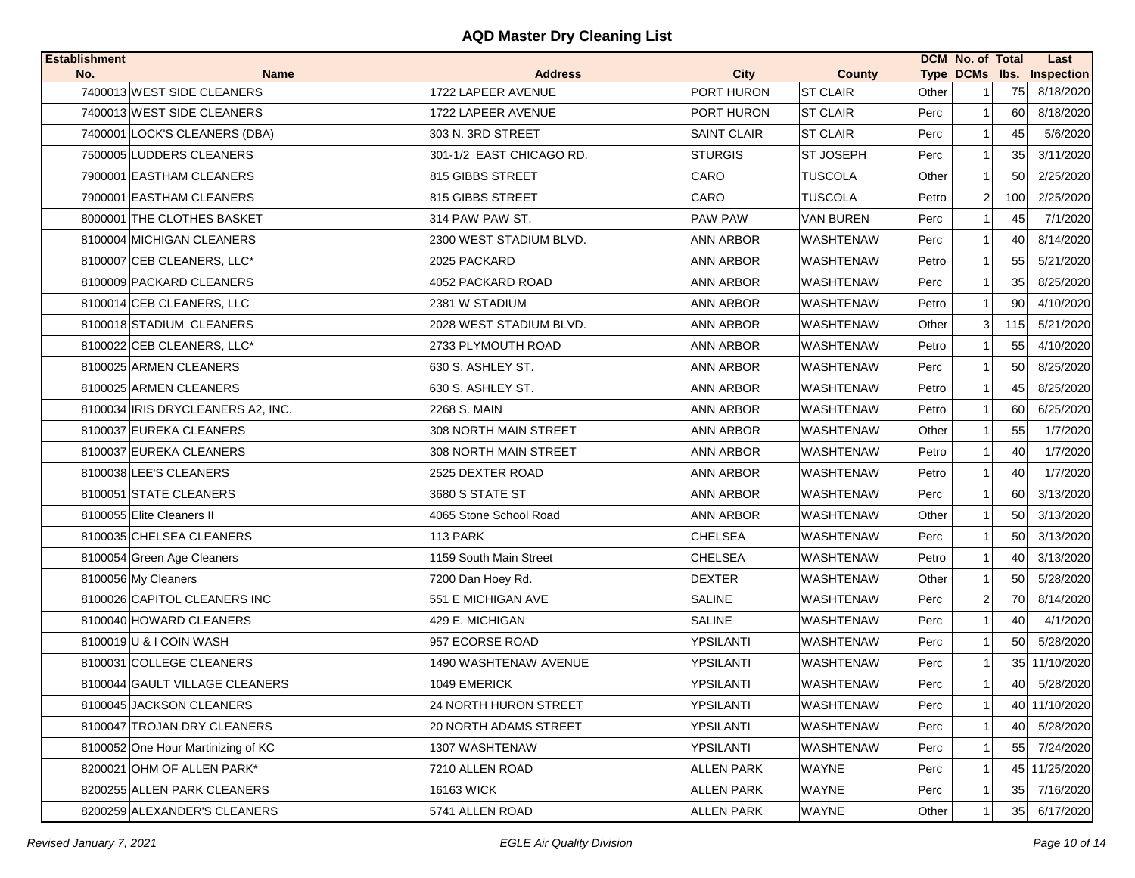| <b>Establishment</b> |                                    |                          |                    |                  |       | DCM No. of Total |     | Last                      |
|----------------------|------------------------------------|--------------------------|--------------------|------------------|-------|------------------|-----|---------------------------|
| No.                  | <b>Name</b>                        | <b>Address</b>           | <b>City</b>        | <b>County</b>    |       |                  |     | Type DCMs lbs. Inspection |
|                      | 7400013 WEST SIDE CLEANERS         | 1722 LAPEER AVENUE       | PORT HURON         | <b>ST CLAIR</b>  | Other |                  | 75  | 8/18/2020                 |
|                      | 7400013 WEST SIDE CLEANERS         | 1722 LAPEER AVENUE       | PORT HURON         | <b>ST CLAIR</b>  | Perc  |                  | 60  | 8/18/2020                 |
|                      | 7400001 LOCK'S CLEANERS (DBA)      | 303 N. 3RD STREET        | <b>SAINT CLAIR</b> | <b>ST CLAIR</b>  | Perc  |                  | 45  | 5/6/2020                  |
|                      | 7500005 LUDDERS CLEANERS           | 301-1/2 EAST CHICAGO RD. | <b>STURGIS</b>     | ST JOSEPH        | Perc  | 1                | 35  | 3/11/2020                 |
|                      | 7900001 EASTHAM CLEANERS           | 815 GIBBS STREET         | CARO               | <b>TUSCOLA</b>   | Other |                  | 50  | 2/25/2020                 |
|                      | 7900001 EASTHAM CLEANERS           | 815 GIBBS STREET         | CARO               | <b>TUSCOLA</b>   | Petro | 2                | 100 | 2/25/2020                 |
|                      | 8000001 THE CLOTHES BASKET         | 314 PAW PAW ST.          | PAW PAW            | <b>VAN BUREN</b> | Perc  |                  | 45  | 7/1/2020                  |
|                      | 8100004 MICHIGAN CLEANERS          | 2300 WEST STADIUM BLVD.  | <b>ANN ARBOR</b>   | <b>WASHTENAW</b> | Perc  |                  | 40  | 8/14/2020                 |
|                      | 8100007 CEB CLEANERS, LLC*         | 2025 PACKARD             | <b>ANN ARBOR</b>   | WASHTENAW        | Petro |                  | 55  | 5/21/2020                 |
|                      | 8100009 PACKARD CLEANERS           | 4052 PACKARD ROAD        | ANN ARBOR          | WASHTENAW        | Perc  |                  | 35  | 8/25/2020                 |
|                      | 8100014 CEB CLEANERS, LLC          | 2381 W STADIUM           | ANN ARBOR          | WASHTENAW        | Petro |                  | 90  | 4/10/2020                 |
|                      | 8100018 STADIUM CLEANERS           | 2028 WEST STADIUM BLVD.  | <b>ANN ARBOR</b>   | <b>WASHTENAW</b> | Other | 3                | 115 | 5/21/2020                 |
|                      | 8100022 CEB CLEANERS, LLC*         | 2733 PLYMOUTH ROAD       | ANN ARBOR          | WASHTENAW        | Petro |                  | 55  | 4/10/2020                 |
|                      | 8100025 ARMEN CLEANERS             | 630 S. ASHLEY ST.        | <b>ANN ARBOR</b>   | <b>WASHTENAW</b> | Perc  |                  | 50  | 8/25/2020                 |
|                      | 8100025 ARMEN CLEANERS             | 630 S. ASHLEY ST.        | <b>ANN ARBOR</b>   | WASHTENAW        | Petro |                  | 45  | 8/25/2020                 |
|                      | 8100034 IRIS DRYCLEANERS A2, INC.  | 2268 S. MAIN             | ANN ARBOR          | <b>WASHTENAW</b> | Petro |                  | 60  | 6/25/2020                 |
|                      | 8100037 EUREKA CLEANERS            | 308 NORTH MAIN STREET    | ANN ARBOR          | WASHTENAW        | Other |                  | 55  | 1/7/2020                  |
|                      | 8100037 EUREKA CLEANERS            | 308 NORTH MAIN STREET    | <b>ANN ARBOR</b>   | <b>WASHTENAW</b> | Petro |                  | 40  | 1/7/2020                  |
|                      | 8100038 LEE'S CLEANERS             | 2525 DEXTER ROAD         | <b>ANN ARBOR</b>   | <b>WASHTENAW</b> | Petro |                  | 40  | 1/7/2020                  |
|                      | 8100051 STATE CLEANERS             | 3680 S STATE ST          | <b>ANN ARBOR</b>   | <b>WASHTENAW</b> | Perc  |                  | 60  | 3/13/2020                 |
|                      | 8100055 Elite Cleaners II          | 4065 Stone School Road   | <b>ANN ARBOR</b>   | WASHTENAW        | Other |                  | 50  | 3/13/2020                 |
|                      | 8100035 CHELSEA CLEANERS           | 113 PARK                 | <b>CHELSEA</b>     | WASHTENAW        | Perc  |                  | 50  | 3/13/2020                 |
|                      | 8100054 Green Age Cleaners         | 1159 South Main Street   | CHELSEA            | WASHTENAW        | Petro |                  | 40  | 3/13/2020                 |
|                      | 8100056 My Cleaners                | 7200 Dan Hoey Rd.        | <b>DEXTER</b>      | <b>WASHTENAW</b> | Other |                  | 50  | 5/28/2020                 |
|                      | 8100026 CAPITOL CLEANERS INC       | 551 E MICHIGAN AVE       | <b>SALINE</b>      | <b>WASHTENAW</b> | Perc  | 2                | 70  | 8/14/2020                 |
|                      | 8100040 HOWARD CLEANERS            | 429 E. MICHIGAN          | <b>SALINE</b>      | <b>WASHTENAW</b> | Perc  |                  | 40  | 4/1/2020                  |
|                      | 8100019 U & I COIN WASH            | 957 ECORSE ROAD          | YPSILANTI          | <b>WASHTENAW</b> | Perc  |                  | 50  | 5/28/2020                 |
|                      | 8100031 COLLEGE CLEANERS           | 1490 WASHTENAW AVENUE    | YPSILANTI          | WASHTENAW        | Perc  |                  |     | 35 11/10/2020             |
|                      | 8100044 GAULT VILLAGE CLEANERS     | 1049 EMERICK             | YPSILANTI          | <b>WASHTENAW</b> | Perc  |                  | 40  | 5/28/2020                 |
|                      | 8100045 JACKSON CLEANERS           | 24 NORTH HURON STREET    | YPSILANTI          | <b>WASHTENAW</b> | Perc  | 1                |     | 40 11/10/2020             |
|                      | 8100047 TROJAN DRY CLEANERS        | 20 NORTH ADAMS STREET    | YPSILANTI          | WASHTENAW        | Perc  |                  | 40  | 5/28/2020                 |
|                      | 8100052 One Hour Martinizing of KC | 1307 WASHTENAW           | YPSILANTI          | WASHTENAW        | Perc  |                  | 55  | 7/24/2020                 |
|                      | 8200021 OHM OF ALLEN PARK*         | 7210 ALLEN ROAD          | <b>ALLEN PARK</b>  | WAYNE            | Perc  |                  |     | 45 11/25/2020             |
|                      | 8200255 ALLEN PARK CLEANERS        | 16163 WICK               | <b>ALLEN PARK</b>  | WAYNE            | Perc  |                  | 35  | 7/16/2020                 |
|                      | 8200259 ALEXANDER'S CLEANERS       | 5741 ALLEN ROAD          | <b>ALLEN PARK</b>  | WAYNE            | Other |                  | 35  | 6/17/2020                 |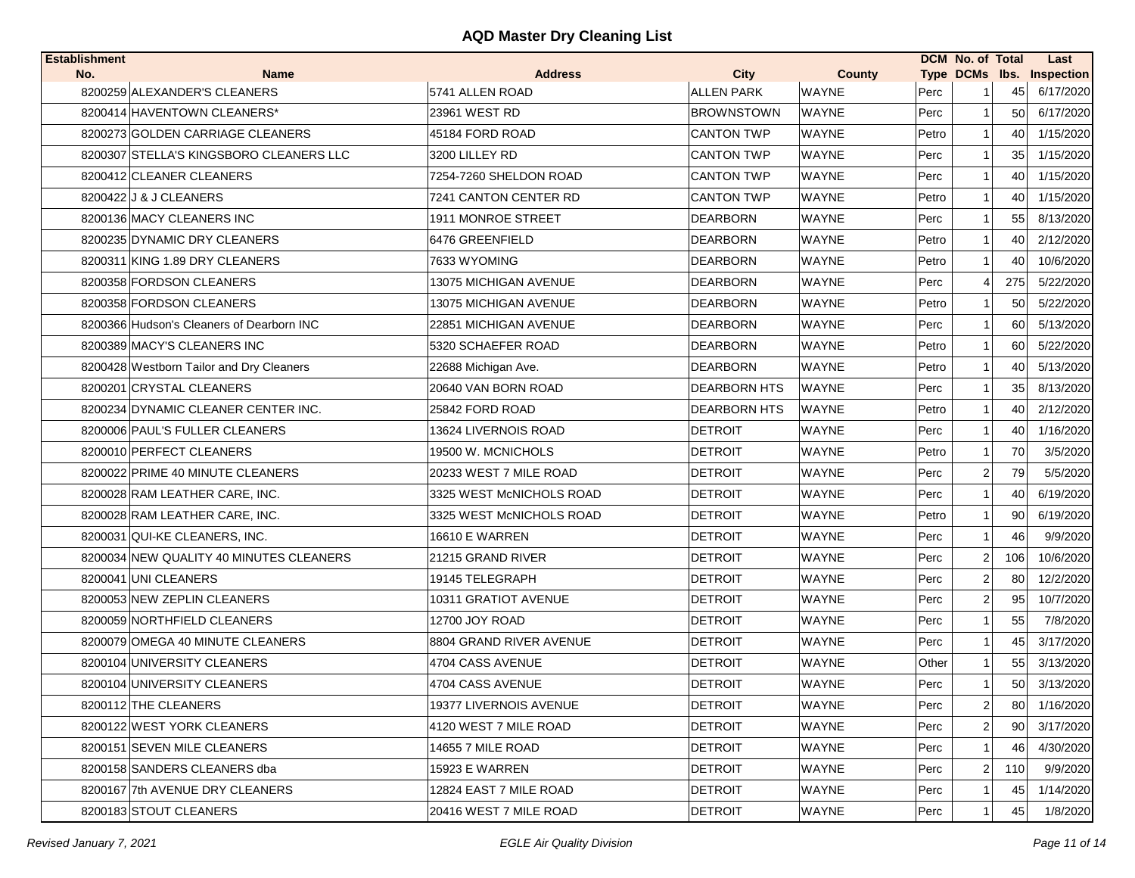| <b>Establishment</b>                      |                          |                     |              |       | DCM No. of Total        |     | Last                      |
|-------------------------------------------|--------------------------|---------------------|--------------|-------|-------------------------|-----|---------------------------|
| No.<br>Name                               | <b>Address</b>           | City                | County       |       |                         |     | Type DCMs Ibs. Inspection |
| 8200259 ALEXANDER'S CLEANERS              | 5741 ALLEN ROAD          | <b>ALLEN PARK</b>   | <b>WAYNE</b> | Perc  | -1                      | 45  | 6/17/2020                 |
| 8200414 HAVENTOWN CLEANERS*               | 23961 WEST RD            | <b>BROWNSTOWN</b>   | <b>WAYNE</b> | Perc  | 1                       | 50  | 6/17/2020                 |
| 8200273 GOLDEN CARRIAGE CLEANERS          | 45184 FORD ROAD          | <b>CANTON TWP</b>   | <b>WAYNE</b> | Petro | 1                       | 40  | 1/15/2020                 |
| 8200307 STELLA'S KINGSBORO CLEANERS LLC   | 3200 LILLEY RD           | <b>CANTON TWP</b>   | <b>WAYNE</b> | Perc  | 1                       | 35  | 1/15/2020                 |
| 8200412 CLEANER CLEANERS                  | 7254-7260 SHELDON ROAD   | <b>CANTON TWP</b>   | <b>WAYNE</b> | Perc  | 1                       | 40  | 1/15/2020                 |
| 8200422 J & J CLEANERS                    | 7241 CANTON CENTER RD    | <b>CANTON TWP</b>   | <b>WAYNE</b> | Petro | 1                       | 40  | 1/15/2020                 |
| 8200136 MACY CLEANERS INC                 | 1911 MONROE STREET       | <b>DEARBORN</b>     | <b>WAYNE</b> | Perc  | 1                       | 55  | 8/13/2020                 |
| 8200235 DYNAMIC DRY CLEANERS              | 6476 GREENFIELD          | <b>DEARBORN</b>     | <b>WAYNE</b> | Petro | 1                       | 40  | 2/12/2020                 |
| 8200311 KING 1.89 DRY CLEANERS            | 7633 WYOMING             | <b>DEARBORN</b>     | <b>WAYNE</b> | Petro |                         | 40  | 10/6/2020                 |
| 8200358 FORDSON CLEANERS                  | 13075 MICHIGAN AVENUE    | <b>DEARBORN</b>     | <b>WAYNE</b> | Perc  | 4                       | 275 | 5/22/2020                 |
| 8200358 FORDSON CLEANERS                  | 13075 MICHIGAN AVENUE    | <b>DEARBORN</b>     | <b>WAYNE</b> | Petro | 1                       | 50  | 5/22/2020                 |
| 8200366 Hudson's Cleaners of Dearborn INC | 22851 MICHIGAN AVENUE    | <b>DEARBORN</b>     | <b>WAYNE</b> | Perc  | 1                       | 60  | 5/13/2020                 |
| 8200389 MACY'S CLEANERS INC               | 5320 SCHAEFER ROAD       | <b>DEARBORN</b>     | <b>WAYNE</b> | Petro | $\mathbf{1}$            | 60  | 5/22/2020                 |
| 8200428 Westborn Tailor and Dry Cleaners  | 22688 Michigan Ave.      | <b>DEARBORN</b>     | <b>WAYNE</b> | Petro | 1                       | 40  | 5/13/2020                 |
| 8200201 CRYSTAL CLEANERS                  | 20640 VAN BORN ROAD      | <b>DEARBORN HTS</b> | <b>WAYNE</b> | Perc  | 1                       | 35  | 8/13/2020                 |
| 8200234 DYNAMIC CLEANER CENTER INC.       | 25842 FORD ROAD          | <b>DEARBORN HTS</b> | <b>WAYNE</b> | Petro | 1                       | 40  | 2/12/2020                 |
| 8200006 PAUL'S FULLER CLEANERS            | 13624 LIVERNOIS ROAD     | <b>DETROIT</b>      | <b>WAYNE</b> | Perc  | 1                       | 40  | 1/16/2020                 |
| 8200010 PERFECT CLEANERS                  | 19500 W. MCNICHOLS       | <b>DETROIT</b>      | <b>WAYNE</b> | Petro | 1                       | 70  | 3/5/2020                  |
| 8200022 PRIME 40 MINUTE CLEANERS          | 20233 WEST 7 MILE ROAD   | <b>DETROIT</b>      | <b>WAYNE</b> | Perc  | $\overline{2}$          | 79  | 5/5/2020                  |
| 8200028 RAM LEATHER CARE, INC.            | 3325 WEST McNICHOLS ROAD | <b>DETROIT</b>      | <b>WAYNE</b> | Perc  | 1                       | 40  | 6/19/2020                 |
| 8200028 RAM LEATHER CARE, INC.            | 3325 WEST McNICHOLS ROAD | <b>DETROIT</b>      | <b>WAYNE</b> | Petro | 1                       | 90  | 6/19/2020                 |
| 8200031 QUI-KE CLEANERS, INC.             | 16610 E WARREN           | <b>DETROIT</b>      | <b>WAYNE</b> | Perc  | 1                       | 46  | 9/9/2020                  |
| 8200034 NEW QUALITY 40 MINUTES CLEANERS   | 21215 GRAND RIVER        | <b>DETROIT</b>      | <b>WAYNE</b> | Perc  | $\overline{2}$          | 106 | 10/6/2020                 |
| 8200041 UNI CLEANERS                      | 19145 TELEGRAPH          | <b>DETROIT</b>      | <b>WAYNE</b> | Perc  | $\overline{\mathbf{c}}$ | 80  | 12/2/2020                 |
| 8200053 NEW ZEPLIN CLEANERS               | 10311 GRATIOT AVENUE     | <b>DETROIT</b>      | <b>WAYNE</b> | Perc  | $\overline{2}$          | 95  | 10/7/2020                 |
| 8200059 NORTHFIELD CLEANERS               | 12700 JOY ROAD           | <b>DETROIT</b>      | <b>WAYNE</b> | Perc  | 1                       | 55  | 7/8/2020                  |
| 8200079 OMEGA 40 MINUTE CLEANERS          | 8804 GRAND RIVER AVENUE  | <b>DETROIT</b>      | <b>WAYNE</b> | Perc  | 1                       | 45  | 3/17/2020                 |
| 8200104 UNIVERSITY CLEANERS               | 4704 CASS AVENUE         | <b>DETROIT</b>      | <b>WAYNE</b> | Other | 1                       | 55  | 3/13/2020                 |
| 8200104 UNIVERSITY CLEANERS               | 4704 CASS AVENUE         | <b>DETROIT</b>      | <b>WAYNE</b> | Perc  | 1                       | 50  | 3/13/2020                 |
| 8200112 THE CLEANERS                      | 19377 LIVERNOIS AVENUE   | <b>DETROIT</b>      | <b>WAYNE</b> | Perc  | $\overline{2}$          | 80  | 1/16/2020                 |
| 8200122 WEST YORK CLEANERS                | 4120 WEST 7 MILE ROAD    | <b>DETROIT</b>      | <b>WAYNE</b> | Perc  | $\overline{2}$          | 90  | 3/17/2020                 |
| 8200151 SEVEN MILE CLEANERS               | 14655 7 MILE ROAD        | <b>DETROIT</b>      | <b>WAYNE</b> | Perc  |                         | 46  | 4/30/2020                 |
| 8200158 SANDERS CLEANERS dba              | 15923 E WARREN           | <b>DETROIT</b>      | <b>WAYNE</b> | Perc  | $\overline{2}$          | 110 | 9/9/2020                  |
| 8200167 7th AVENUE DRY CLEANERS           | 12824 EAST 7 MILE ROAD   | <b>DETROIT</b>      | <b>WAYNE</b> | Perc  |                         | 45  | 1/14/2020                 |
| 8200183 STOUT CLEANERS                    | 20416 WEST 7 MILE ROAD   | <b>DETROIT</b>      | <b>WAYNE</b> | Perc  |                         | 45  | 1/8/2020                  |
|                                           |                          |                     |              |       |                         |     |                           |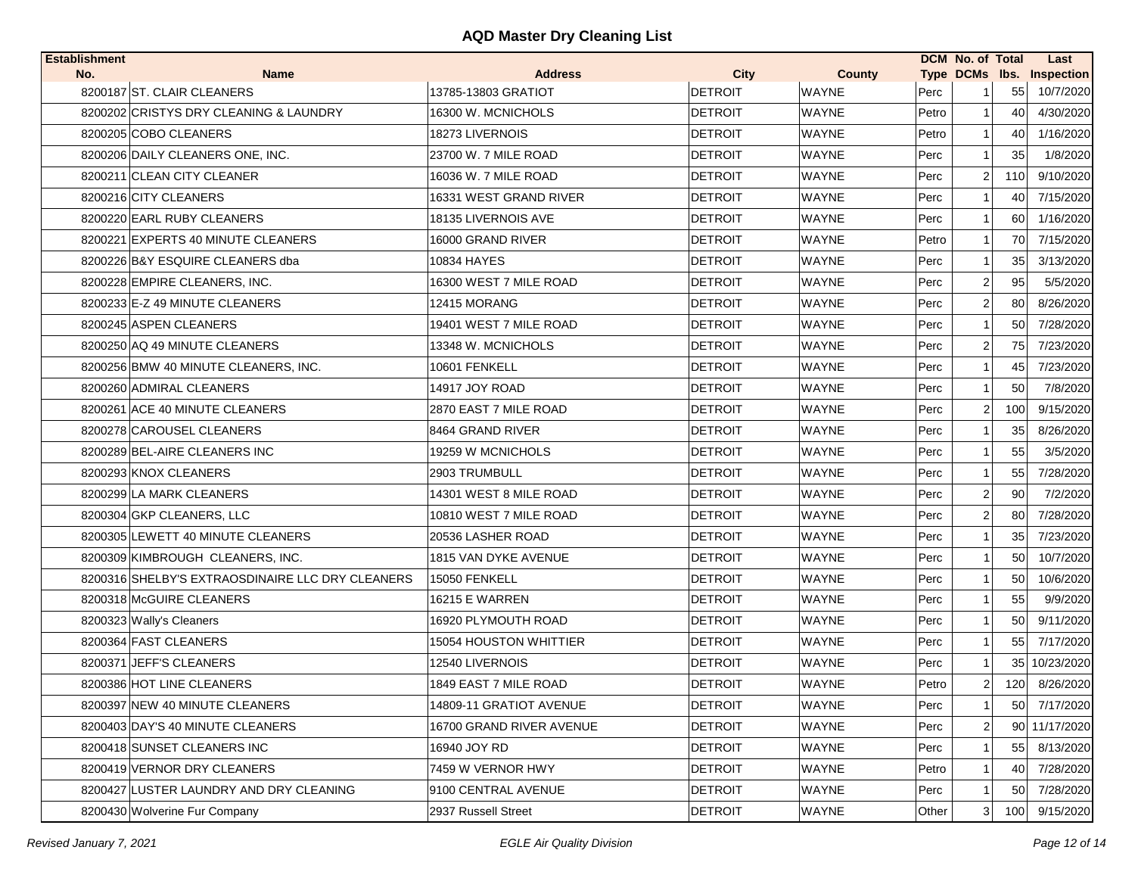| <b>Establishment</b> |                                                  |                          |                |              |       | <b>DCM</b> No. of Total |     | Last                      |
|----------------------|--------------------------------------------------|--------------------------|----------------|--------------|-------|-------------------------|-----|---------------------------|
| No.                  | <b>Name</b>                                      | <b>Address</b>           | <b>City</b>    | County       |       |                         |     | Type DCMs lbs. Inspection |
|                      | 8200187 ST. CLAIR CLEANERS                       | 13785-13803 GRATIOT      | <b>DETROIT</b> | <b>WAYNE</b> | Perc  |                         | 55  | 10/7/2020                 |
|                      | 8200202 CRISTYS DRY CLEANING & LAUNDRY           | 16300 W. MCNICHOLS       | <b>DETROIT</b> | <b>WAYNE</b> | Petro | 1                       | 40  | 4/30/2020                 |
|                      | 8200205 COBO CLEANERS                            | 18273 LIVERNOIS          | <b>DETROIT</b> | <b>WAYNE</b> | Petro |                         | 40  | 1/16/2020                 |
|                      | 8200206 DAILY CLEANERS ONE, INC.                 | 23700 W. 7 MILE ROAD     | <b>DETROIT</b> | <b>WAYNE</b> | Perc  |                         | 35  | 1/8/2020                  |
|                      | 8200211 CLEAN CITY CLEANER                       | 16036 W. 7 MILE ROAD     | <b>DETROIT</b> | <b>WAYNE</b> | Perc  | 2                       | 110 | 9/10/2020                 |
|                      | 8200216 CITY CLEANERS                            | 16331 WEST GRAND RIVER   | <b>DETROIT</b> | <b>WAYNE</b> | Perc  | -1                      | 40  | 7/15/2020                 |
|                      | 8200220 EARL RUBY CLEANERS                       | 18135 LIVERNOIS AVE      | <b>DETROIT</b> | <b>WAYNE</b> | Perc  | $\mathbf 1$             | 60  | 1/16/2020                 |
|                      | 8200221 EXPERTS 40 MINUTE CLEANERS               | 16000 GRAND RIVER        | <b>DETROIT</b> | <b>WAYNE</b> | Petro |                         | 70  | 7/15/2020                 |
|                      | 8200226 B&Y ESQUIRE CLEANERS dba                 | 10834 HAYES              | <b>DETROIT</b> | <b>WAYNE</b> | Perc  |                         | 35  | 3/13/2020                 |
|                      | 8200228 EMPIRE CLEANERS, INC.                    | 16300 WEST 7 MILE ROAD   | <b>DETROIT</b> | <b>WAYNE</b> | Perc  | 2                       | 95  | 5/5/2020                  |
|                      | 8200233 E-Z 49 MINUTE CLEANERS                   | 12415 MORANG             | <b>DETROIT</b> | <b>WAYNE</b> | Perc  | $\overline{2}$          | 80  | 8/26/2020                 |
|                      | 8200245 ASPEN CLEANERS                           | 19401 WEST 7 MILE ROAD   | <b>DETROIT</b> | <b>WAYNE</b> | Perc  | 1                       | 50  | 7/28/2020                 |
|                      | 8200250 AQ 49 MINUTE CLEANERS                    | 13348 W. MCNICHOLS       | <b>DETROIT</b> | <b>WAYNE</b> | Perc  | $\overline{2}$          | 75  | 7/23/2020                 |
|                      | 8200256 BMW 40 MINUTE CLEANERS, INC.             | 10601 FENKELL            | <b>DETROIT</b> | <b>WAYNE</b> | Perc  | 1                       | 45  | 7/23/2020                 |
|                      | 8200260 ADMIRAL CLEANERS                         | 14917 JOY ROAD           | <b>DETROIT</b> | <b>WAYNE</b> | Perc  |                         | 50  | 7/8/2020                  |
|                      | 8200261 ACE 40 MINUTE CLEANERS                   | 2870 EAST 7 MILE ROAD    | <b>DETROIT</b> | <b>WAYNE</b> | Perc  | 2                       | 100 | 9/15/2020                 |
|                      | 8200278 CAROUSEL CLEANERS                        | 8464 GRAND RIVER         | <b>DETROIT</b> | <b>WAYNE</b> | Perc  |                         | 35  | 8/26/2020                 |
|                      | 8200289 BEL-AIRE CLEANERS INC                    | 19259 W MCNICHOLS        | <b>DETROIT</b> | <b>WAYNE</b> | Perc  | 1                       | 55  | 3/5/2020                  |
|                      | 8200293 KNOX CLEANERS                            | 2903 TRUMBULL            | <b>DETROIT</b> | <b>WAYNE</b> | Perc  | 1                       | 55  | 7/28/2020                 |
|                      | 8200299 LA MARK CLEANERS                         | 14301 WEST 8 MILE ROAD   | <b>DETROIT</b> | <b>WAYNE</b> | Perc  | 2                       | 90  | 7/2/2020                  |
|                      | 8200304 GKP CLEANERS, LLC                        | 10810 WEST 7 MILE ROAD   | <b>DETROIT</b> | <b>WAYNE</b> | Perc  | $\overline{2}$          | 80  | 7/28/2020                 |
|                      | 8200305 LEWETT 40 MINUTE CLEANERS                | 20536 LASHER ROAD        | <b>DETROIT</b> | <b>WAYNE</b> | Perc  |                         | 35  | 7/23/2020                 |
|                      | 8200309 KIMBROUGH CLEANERS, INC.                 | 1815 VAN DYKE AVENUE     | <b>DETROIT</b> | <b>WAYNE</b> | Perc  |                         | 50  | 10/7/2020                 |
|                      | 8200316 SHELBY'S EXTRAOSDINAIRE LLC DRY CLEANERS | 15050 FENKELL            | <b>DETROIT</b> | <b>WAYNE</b> | Perc  | 1                       | 50  | 10/6/2020                 |
|                      | 8200318 McGUIRE CLEANERS                         | 16215 E WARREN           | <b>DETROIT</b> | <b>WAYNE</b> | Perc  |                         | 55  | 9/9/2020                  |
|                      | 8200323 Wally's Cleaners                         | 16920 PLYMOUTH ROAD      | <b>DETROIT</b> | <b>WAYNE</b> | Perc  | 1                       | 50  | 9/11/2020                 |
|                      | 8200364 FAST CLEANERS                            | 15054 HOUSTON WHITTIER   | <b>DETROIT</b> | <b>WAYNE</b> | Perc  |                         | 55  | 7/17/2020                 |
|                      | 8200371 JEFF'S CLEANERS                          | 12540 LIVERNOIS          | <b>DETROIT</b> | <b>WAYNE</b> | Perc  |                         | 351 | 10/23/2020                |
|                      | 8200386 HOT LINE CLEANERS                        | 1849 EAST 7 MILE ROAD    | <b>DETROIT</b> | <b>WAYNE</b> | Petro | 2                       | 120 | 8/26/2020                 |
|                      | 8200397 NEW 40 MINUTE CLEANERS                   | 14809-11 GRATIOT AVENUE  | <b>DETROIT</b> | <b>WAYNE</b> | Perc  | $\mathbf{1}$            | 50  | 7/17/2020                 |
|                      | 8200403 DAY'S 40 MINUTE CLEANERS                 | 16700 GRAND RIVER AVENUE | <b>DETROIT</b> | <b>WAYNE</b> | Perc  | $\overline{2}$          | 90  | 11/17/2020                |
|                      | 8200418 SUNSET CLEANERS INC                      | 16940 JOY RD             | <b>DETROIT</b> | <b>WAYNE</b> | Perc  |                         | 55  | 8/13/2020                 |
|                      | 8200419 VERNOR DRY CLEANERS                      | 7459 W VERNOR HWY        | <b>DETROIT</b> | <b>WAYNE</b> | Petro | 1                       | 40  | 7/28/2020                 |
|                      | 8200427 LUSTER LAUNDRY AND DRY CLEANING          | 9100 CENTRAL AVENUE      | DETROIT        | <b>WAYNE</b> | Perc  |                         | 50  | 7/28/2020                 |
|                      | 8200430 Wolverine Fur Company                    | 2937 Russell Street      | DETROIT        | WAYNE        | Other | 3                       | 100 | 9/15/2020                 |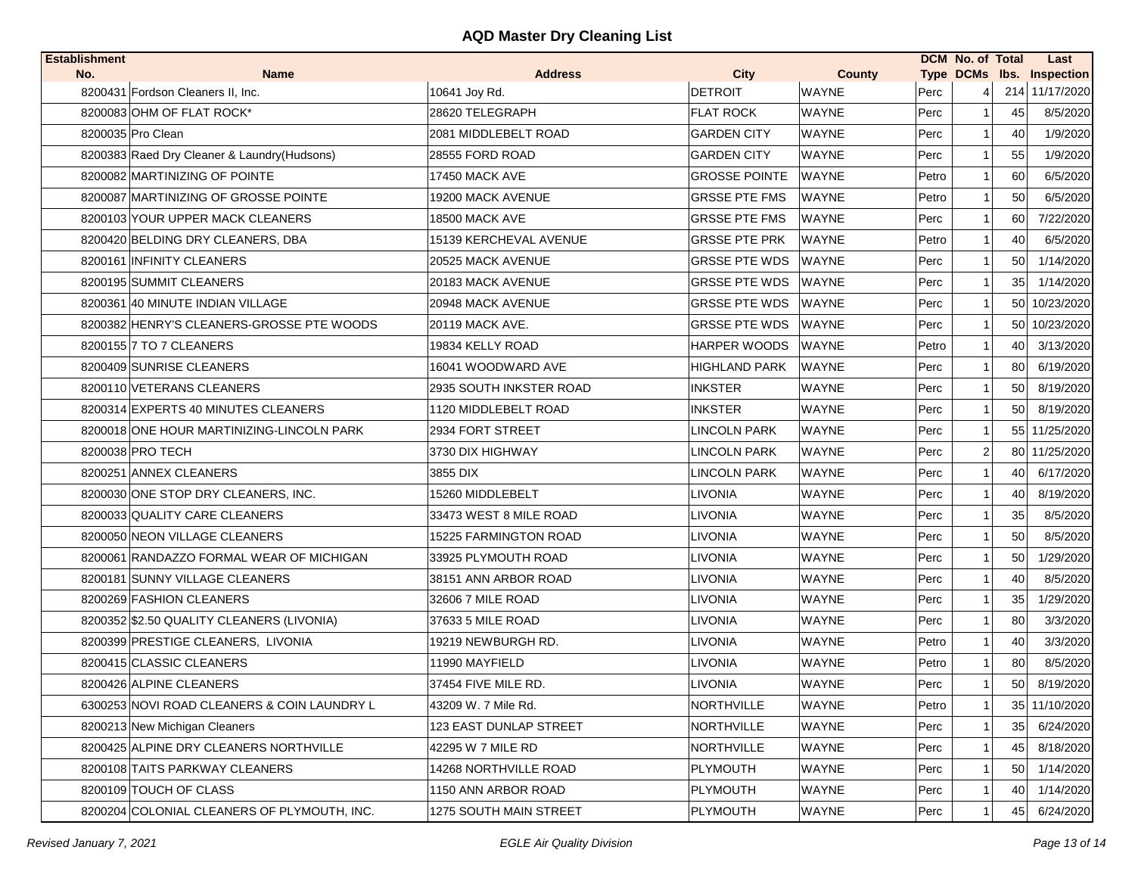| <b>Establishment</b> |                                              |                         |                      |               |       | <b>DCM No. of Total</b> |    | Last                      |
|----------------------|----------------------------------------------|-------------------------|----------------------|---------------|-------|-------------------------|----|---------------------------|
| No.                  | <b>Name</b>                                  | <b>Address</b>          | <b>City</b>          | <b>County</b> |       |                         |    | Type DCMs Ibs. Inspection |
|                      | 8200431 Fordson Cleaners II, Inc.            | 10641 Joy Rd.           | <b>DETROIT</b>       | <b>WAYNE</b>  | Perc  | $\frac{4}{ }$           |    | 214 11/17/2020            |
|                      | 8200083 OHM OF FLAT ROCK*                    | 28620 TELEGRAPH         | <b>FLAT ROCK</b>     | <b>WAYNE</b>  | Perc  | 1 <sup>1</sup>          | 45 | 8/5/2020                  |
|                      | 8200035 Pro Clean                            | 2081 MIDDLEBELT ROAD    | <b>GARDEN CITY</b>   | <b>WAYNE</b>  | Perc  |                         | 40 | 1/9/2020                  |
|                      | 8200383 Raed Dry Cleaner & Laundry (Hudsons) | 28555 FORD ROAD         | <b>GARDEN CITY</b>   | <b>WAYNE</b>  | Perc  | 11                      | 55 | 1/9/2020                  |
|                      | 8200082 MARTINIZING OF POINTE                | 17450 MACK AVE          | <b>GROSSE POINTE</b> | <b>WAYNE</b>  | Petro |                         | 60 | 6/5/2020                  |
|                      | 8200087 MARTINIZING OF GROSSE POINTE         | 19200 MACK AVENUE       | <b>GRSSE PTE FMS</b> | <b>WAYNE</b>  | Petro |                         | 50 | 6/5/2020                  |
|                      | 8200103 YOUR UPPER MACK CLEANERS             | 18500 MACK AVE          | <b>GRSSE PTE FMS</b> | <b>WAYNE</b>  | Perc  |                         | 60 | 7/22/2020                 |
|                      | 8200420 BELDING DRY CLEANERS, DBA            | 15139 KERCHEVAL AVENUE  | <b>GRSSE PTE PRK</b> | <b>WAYNE</b>  | Petro |                         | 40 | 6/5/2020                  |
|                      | 8200161 INFINITY CLEANERS                    | 20525 MACK AVENUE       | <b>GRSSE PTE WDS</b> | <b>WAYNE</b>  | Perc  |                         | 50 | 1/14/2020                 |
|                      | 8200195 SUMMIT CLEANERS                      | 20183 MACK AVENUE       | <b>GRSSE PTE WDS</b> | <b>WAYNE</b>  | Perc  |                         | 35 | 1/14/2020                 |
|                      | 8200361 40 MINUTE INDIAN VILLAGE             | 20948 MACK AVENUE       | <b>GRSSE PTE WDS</b> | <b>WAYNE</b>  | Perc  |                         |    | 50 10/23/2020             |
|                      | 8200382 HENRY'S CLEANERS-GROSSE PTE WOODS    | 20119 MACK AVE.         | <b>GRSSE PTE WDS</b> | <b>WAYNE</b>  | Perc  |                         |    | 50 10/23/2020             |
|                      | 8200155 7 TO 7 CLEANERS                      | 19834 KELLY ROAD        | <b>HARPER WOODS</b>  | <b>WAYNE</b>  | Petro | 11                      | 40 | 3/13/2020                 |
|                      | 8200409 SUNRISE CLEANERS                     | 16041 WOODWARD AVE      | HIGHLAND PARK        | <b>WAYNE</b>  | Perc  | 11                      | 80 | 6/19/2020                 |
|                      | 8200110 VETERANS CLEANERS                    | 2935 SOUTH INKSTER ROAD | <b>INKSTER</b>       | WAYNE         | Perc  | 11                      | 50 | 8/19/2020                 |
|                      | 8200314 EXPERTS 40 MINUTES CLEANERS          | 1120 MIDDLEBELT ROAD    | <b>INKSTER</b>       | <b>WAYNE</b>  | Perc  |                         | 50 | 8/19/2020                 |
|                      | 8200018 ONE HOUR MARTINIZING-LINCOLN PARK    | 2934 FORT STREET        | LINCOLN PARK         | <b>WAYNE</b>  | Perc  |                         |    | 55 11/25/2020             |
|                      | 8200038 PRO TECH                             | 3730 DIX HIGHWAY        | <b>LINCOLN PARK</b>  | <b>WAYNE</b>  | Perc  | 2                       |    | 80 11/25/2020             |
|                      | 8200251 ANNEX CLEANERS                       | 3855 DIX                | LINCOLN PARK         | <b>WAYNE</b>  | Perc  | 11                      | 40 | 6/17/2020                 |
|                      | 8200030 ONE STOP DRY CLEANERS, INC.          | 15260 MIDDLEBELT        | <b>LIVONIA</b>       | <b>WAYNE</b>  | Perc  |                         | 40 | 8/19/2020                 |
|                      | 8200033 QUALITY CARE CLEANERS                | 33473 WEST 8 MILE ROAD  | LIVONIA              | WAYNE         | Perc  |                         | 35 | 8/5/2020                  |
|                      | 8200050 NEON VILLAGE CLEANERS                | 15225 FARMINGTON ROAD   | LIVONIA              | WAYNE         | Perc  | 1                       | 50 | 8/5/2020                  |
|                      | 8200061 RANDAZZO FORMAL WEAR OF MICHIGAN     | 33925 PLYMOUTH ROAD     | <b>LIVONIA</b>       | WAYNE         | Perc  |                         | 50 | 1/29/2020                 |
|                      | 8200181 SUNNY VILLAGE CLEANERS               | 38151 ANN ARBOR ROAD    | LIVONIA              | WAYNE         | Perc  | 1                       | 40 | 8/5/2020                  |
|                      | 8200269 FASHION CLEANERS                     | 32606 7 MILE ROAD       | <b>LIVONIA</b>       | <b>WAYNE</b>  | Perc  |                         | 35 | 1/29/2020                 |
|                      | 8200352 \$2.50 QUALITY CLEANERS (LIVONIA)    | 37633 5 MILE ROAD       | LIVONIA              | <b>WAYNE</b>  | Perc  | 11                      | 80 | 3/3/2020                  |
|                      | 8200399 PRESTIGE CLEANERS, LIVONIA           | 19219 NEWBURGH RD.      | <b>LIVONIA</b>       | <b>WAYNE</b>  | Petro | 11                      | 40 | 3/3/2020                  |
|                      | 8200415 CLASSIC CLEANERS                     | 11990 MAYFIELD          | LIVONIA              | <b>WAYNE</b>  | Petro | 11                      | 80 | 8/5/2020                  |
|                      | 8200426 ALPINE CLEANERS                      | 37454 FIVE MILE RD.     | <b>LIVONIA</b>       | <b>WAYNE</b>  | Perc  | 11                      | 50 | 8/19/2020                 |
|                      | 6300253 NOVI ROAD CLEANERS & COIN LAUNDRY L  | 43209 W. 7 Mile Rd.     | NORTHVILLE           | WAYNE         | Petro | 11                      |    | 35 11/10/2020             |
|                      | 8200213 New Michigan Cleaners                | 123 EAST DUNLAP STREET  | NORTHVILLE           | WAYNE         | Perc  |                         | 35 | 6/24/2020                 |
|                      | 8200425 ALPINE DRY CLEANERS NORTHVILLE       | 42295 W 7 MILE RD       | NORTHVILLE           | WAYNE         | Perc  |                         | 45 | 8/18/2020                 |
|                      | 8200108 TAITS PARKWAY CLEANERS               | 14268 NORTHVILLE ROAD   | PLYMOUTH             | WAYNE         | Perc  |                         | 50 | 1/14/2020                 |
|                      | 8200109 TOUCH OF CLASS                       | 1150 ANN ARBOR ROAD     | <b>PLYMOUTH</b>      | WAYNE         | Perc  |                         | 40 | 1/14/2020                 |
|                      | 8200204 COLONIAL CLEANERS OF PLYMOUTH, INC.  | 1275 SOUTH MAIN STREET  | PLYMOUTH             | WAYNE         | Perc  | 11                      | 45 | 6/24/2020                 |